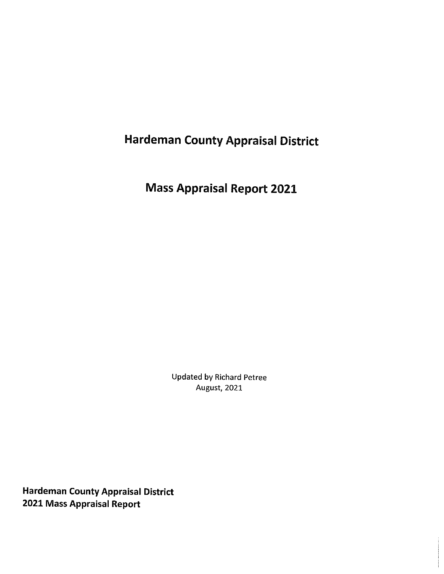# **Hardeman County Appraisal District**

**Mass Appraisal Report 2021** 

**Updated by Richard Petree August, 2021** 

**Hardeman County Appraisal District** 2021 Mass Appraisal Report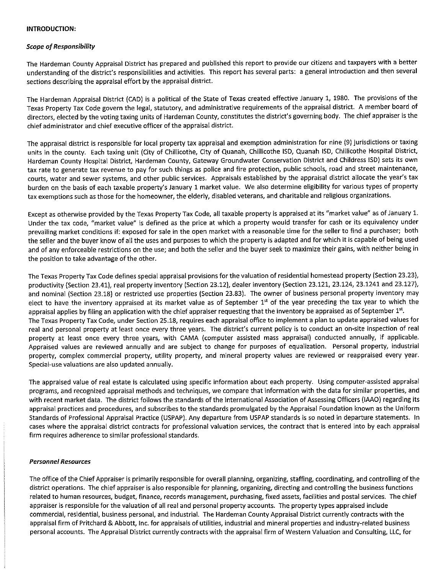#### **INTRODUCTION:**

#### **Scope of Responsibility**

The Hardeman County Appraisal District has prepared and published this report to provide our citizens and taxpayers with a better understanding of the district's responsibilities and activities. This report has several parts: a general introduction and then several sections describing the appraisal effort by the appraisal district.

The Hardeman Appraisal District (CAD) is a political of the State of Texas created effective January 1, 1980. The provisions of the Texas Property Tax Code govern the legal, statutory, and administrative requirements of the appraisal district. A member board of directors, elected by the voting taxing units of Hardeman County, constitutes the district's governing body. The chief appraiser is the chief administrator and chief executive officer of the appraisal district.

The appraisal district is responsible for local property tax appraisal and exemption administration for nine (9) jurisdictions or taxing units in the county. Each taxing unit (City of Chillicothe, City of Quanah, Chillicothe ISD, Quanah ISD, Chillicothe Hospital District, Hardeman County Hospital District, Hardeman County, Gateway Groundwater Conservation District and Childress ISD) sets its own tax rate to generate tax revenue to pay for such things as police and fire protection, public schools, road and street maintenance, courts, water and sewer systems, and other public services. Appraisals established by the appraisal district allocate the year's tax burden on the basis of each taxable property's January 1 market value. We also determine eligibility for various types of property tax exemptions such as those for the homeowner, the elderly, disabled veterans, and charitable and religious organizations.

Except as otherwise provided by the Texas Property Tax Code, all taxable property is appraised at its "market value" as of January 1. Under the tax code, "market value" is defined as the price at which a property would transfer for cash or its equivalency under prevailing market conditions if: exposed for sale in the open market with a reasonable time for the seller to find a purchaser; both the seller and the buyer know of all the uses and purposes to which the property is adapted and for which it is capable of being used and of any enforceable restrictions on the use; and both the seller and the buyer seek to maximize their gains, with neither being in the position to take advantage of the other.

The Texas Property Tax Code defines special appraisal provisions for the valuation of residential homestead property (Section 23.23), productivity (Section 23.41), real property inventory (Section 23.12), dealer inventory (Section 23.121, 23.124, 23.1241 and 23.127), and nominal (Section 23.18) or restricted use properties (Section 23.83). The owner of business personal property inventory may elect to have the inventory appraised at its market value as of September 1st of the year preceding the tax year to which the appraisal applies by filing an application with the chief appraiser requesting that the inventory be appraised as of September 1st. The Texas Property Tax Code, under Section 25.18, requires each appraisal office to implement a plan to update appraised values for real and personal property at least once every three years. The district's current policy is to conduct an on-site inspection of real property at least once every three years, with CAMA (computer assisted mass appraisal) conducted annually, if applicable. Appraised values are reviewed annually and are subject to change for purposes of equalization. Personal property, industrial property, complex commercial property, utility property, and mineral property values are reviewed or reappraised every year. Special-use valuations are also updated annually.

The appraised value of real estate is calculated using specific information about each property. Using computer-assisted appraisal programs, and recognized appraisal methods and techniques, we compare that information with the data for similar properties, and with recent market data. The district follows the standards of the International Association of Assessing Officers (IAAO) regarding its appraisal practices and procedures, and subscribes to the standards promulgated by the Appraisal Foundation known as the Uniform Standards of Professional Appraisal Practice (USPAP). Any departure from USPAP standards is so noted in departure statements. In cases where the appraisal district contracts for professional valuation services, the contract that is entered into by each appraisal firm requires adherence to similar professional standards.

#### **Personnel Resources**

The office of the Chief Appraiser is primarily responsible for overall planning, organizing, staffing, coordinating, and controlling of the district operations. The chief appraiser is also responsible for planning, organizing, directing and controlling the business functions related to human resources, budget, finance, records management, purchasing, fixed assets, facilities and postal services. The chief appraiser is responsible for the valuation of all real and personal property accounts. The property types appraised include commercial, residential, business personal, and industrial. The Hardeman County Appraisal District currently contracts with the appraisal firm of Pritchard & Abbott, Inc. for appraisals of utilities, industrial and mineral properties and industry-related business personal accounts. The Appraisal District currently contracts with the appraisal firm of Western Valuation and Consulting, LLC, for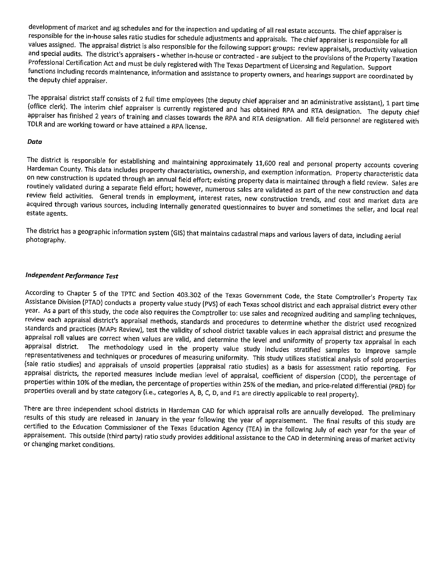development of market and ag schedules and for the inspection and updating of all real estate accounts. The chief appraiser is responsible for the in-house sales ratio studies for schedule adjustments and appraisals. The chief appraiser is responsible for all values assigned. The appraisal district is also responsible for the following support groups: review appraisals, productivity valuation and special audits. The district's appraisers - whether in-house or contracted - are subject to the provisions of the Property Taxation Professional Certification Act and must be duly registered with The Texas Department of Licensing and Regulation. Support functions including records maintenance, information and assistance to property owners, and hearings support are coordinated by the deputy chief appraiser.

The appraisal district staff consists of 2 full time employees (the deputy chief appraiser and an administrative assistant), 1 part time (office clerk). The interim chief appraiser is currently registered and has obtained RPA and RTA designation. The deputy chief appraiser has finished 2 years of training and classes towards the RPA and RTA designation. All field personnel are registered with TDLR and are working toward or have attained a RPA license.

#### Data

The district is responsible for establishing and maintaining approximately 11,600 real and personal property accounts covering Hardeman County. This data includes property characteristics, ownership, and exemption information. Property characteristic data on new construction is updated through an annual field effort; existing property data is maintained through a field review. Sales are routinely validated during a separate field effort; however, numerous sales are validated as part of the new construction and data review field activities. General trends in employment, interest rates, new construction trends, and cost and market data are acquired through various sources, including internally generated questionnaires to buyer and sometimes the seller, and local real estate agents.

The district has a geographic information system (GIS) that maintains cadastral maps and various layers of data, including aerial photography.

#### **Independent Performance Test**

According to Chapter 5 of the TPTC and Section 403.302 of the Texas Government Code, the State Comptroller's Property Tax Assistance Division (PTAD) conducts a property value study (PVS) of each Texas school district and each appraisal district every other year. As a part of this study, the code also requires the Comptroller to: use sales and recognized auditing and sampling techniques, review each appraisal district's appraisal methods, standards and procedures to determine whether the district used recognized standards and practices (MAPs Review), test the validity of school district taxable values in each appraisal district and presume the appraisal roll values are correct when values are valid, and determine the level and uniformity of property tax appraisal in each The methodology used in the property value study includes stratified samples to improve sample appraisal district. representativeness and techniques or procedures of measuring uniformity. This study utilizes statistical analysis of sold properties (sale ratio studies) and appraisals of unsold properties (appraisal ratio studies) as a basis for assessment ratio reporting. For appraisal districts, the reported measures include median level of appraisal, coefficient of dispersion (COD), the percentage of properties within 10% of the median, the percentage of properties within 25% of the median, and price-related differential (PRD) for properties overall and by state category (i.e., categories A, B, C, D, and F1 are directly applicable to real property).

There are three independent school districts in Hardeman CAD for which appraisal rolls are annually developed. The preliminary results of this study are released in January in the year following the year of appraisement. The final results of this study are certified to the Education Commissioner of the Texas Education Agency (TEA) in the following July of each year for the year of appraisement. This outside (third party) ratio study provides additional assistance to the CAD in determining areas of market activity or changing market conditions.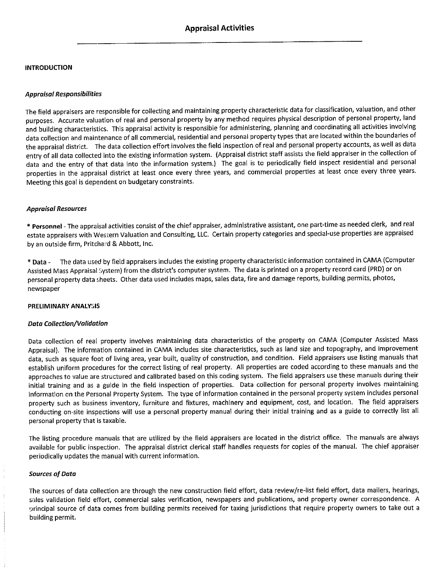#### **INTRODUCTION**

#### **Appraisal Responsibilities**

The field appraisers are responsible for collecting and maintaining property characteristic data for classification, valuation, and other purposes. Accurate valuation of real and personal property by any method requires physical description of personal property, land and building characteristics. This appraisal activity is responsible for administering, planning and coordinating all activities involving data collection and maintenance of all commercial, residential and personal property types that are located within the boundaries of the appraisal district. The data collection effort involves the field inspection of real and personal property accounts, as well as data entry of all data collected into the existing information system. (Appraisal district staff assists the field appraiser in the collection of data and the entry of that data into the information system.) The goal is to periodically field inspect residential and personal properties in the appraisal district at least once every three years, and commercial properties at least once every three years. Meeting this goal is dependent on budgetary constraints.

#### **Appraisal Resources**

\* Personnel - The appraisal activities consist of the chief appraiser, administrative assistant, one part-time as needed clerk, and real estate appraisers with Western Valuation and Consulting, LLC. Certain property categories and special-use properties are appraised by an outside firm, Pritchard & Abbott, Inc.

\* Data - The data used by field appraisers includes the existing property characteristic information contained in CAMA (Computer Assisted Mass Appraisal System) from the district's computer system. The data is printed on a property record card (PRD) or on personal property data sheets. Other data used includes maps, sales data, fire and damage reports, building permits, photos, newspaper

#### PRELIMINARY ANALYSIS

#### **Data Collection/Validation**

Data collection of real property involves maintaining data characteristics of the property on CAMA (Computer Assisted Mass Appraisal). The information contained in CAMA includes site characteristics, such as land size and topography, and improvement data, such as square foot of living area, year built, quality of construction, and condition. Field appraisers use listing manuals that establish uniform procedures for the correct listing of real property. All properties are coded according to these manuals and the approaches to value are structured and calibrated based on this coding system. The field appraisers use these manuals during their initial training and as a guide in the field inspection of properties. Data collection for personal property involves maintaining information on the Personal Property System. The type of information contained in the personal property system includes personal property such as business inventory, furniture and fixtures, machinery and equipment, cost, and location. The field appraisers conducting on-site inspections will use a personal property manual during their initial training and as a guide to correctly list all personal property that is taxable.

The listing procedure manuals that are utilized by the field appraisers are located in the district office. The manuals are always available for public inspection. The appraisal district clerical staff handles requests for copies of the manual. The chief appraiser periodically updates the manual with current information.

#### **Sources of Data**

The sources of data collection are through the new construction field effort, data review/re-list field effort, data mailers, hearings, sales validation field effort, commercial sales verification, newspapers and publications, and property owner correspondence. A principal source of data comes from building permits received for taxing jurisdictions that require property owners to take out a building permit.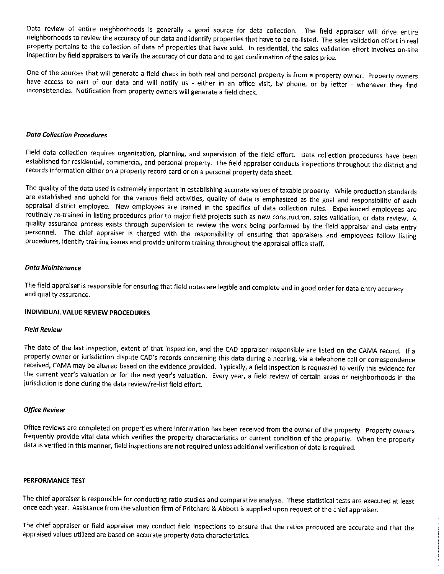Data review of entire neighborhoods is generally a good source for data collection. The field appraiser will drive entire neighborhoods to review the accuracy of our data and identify properties that have to be re-listed. The sales validation effort in real property pertains to the collection of data of properties that have sold. In residential, the sales validation effort involves on-site inspection by field appraisers to verify the accuracy of our data and to get confirmation of the sales price.

One of the sources that will generate a field check in both real and personal property is from a property owner. Property owners have access to part of our data and will notify us - either in an office visit, by phone, or by letter - whenever they find inconsistencies. Notification from property owners will generate a field check.

#### **Data Collection Procedures**

Field data collection requires organization, planning, and supervision of the field effort. Data collection procedures have been established for residential, commercial, and personal property. The field appraiser conducts inspections throughout the district and records information either on a property record card or on a personal property data sheet.

The quality of the data used is extremely important in establishing accurate values of taxable property. While production standards are established and upheld for the various field activities, quality of data is emphasized as the goal and responsibility of each appraisal district employee. New employees are trained in the specifics of data collection rules. Experienced employees are routinely re-trained in listing procedures prior to major field projects such as new construction, sales validation, or data review. A quality assurance process exists through supervision to review the work being performed by the field appraiser and data entry personnel. The chief appraiser is charged with the responsibility of ensuring that appraisers and employees follow listing procedures, identify training issues and provide uniform training throughout the appraisal office staff.

#### **Data Maintenance**

The field appraiser is responsible for ensuring that field notes are legible and complete and in good order for data entry accuracy and quality assurance.

#### INDIVIDUAL VALUE REVIEW PROCEDURES

#### **Field Review**

The date of the last inspection, extent of that inspection, and the CAD appraiser responsible are listed on the CAMA record. If a property owner or jurisdiction dispute CAD's records concerning this data during a hearing, via a telephone call or correspondence received, CAMA may be altered based on the evidence provided. Typically, a field inspection is requested to verify this evidence for the current year's valuation or for the next year's valuation. Every year, a field review of certain areas or neighborhoods in the jurisdiction is done during the data review/re-list field effort.

#### **Office Review**

Office reviews are completed on properties where information has been received from the owner of the property. Property owners frequently provide vital data which verifies the property characteristics or current condition of the property. When the property data is verified in this manner, field inspections are not required unless additional verification of data is required.

#### PERFORMANCE TEST

The chief appraiser is responsible for conducting ratio studies and comparative analysis. These statistical tests are executed at least once each year. Assistance from the valuation firm of Pritchard & Abbott is supplied upon request of the chief appraiser.

The chief appraiser or field appraiser may conduct field inspections to ensure that the ratios produced are accurate and that the appraised values utilized are based on accurate property data characteristics.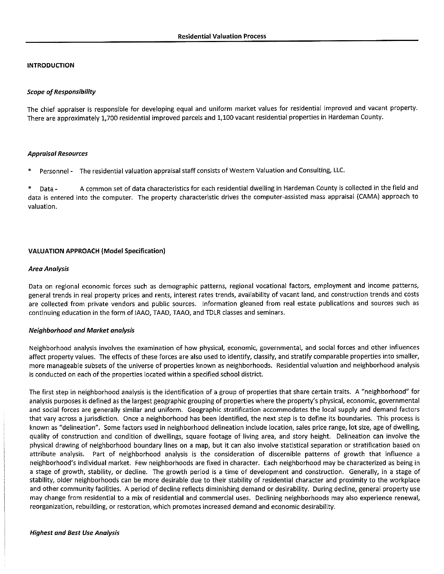#### **INTRODUCTION**

#### **Scope of Responsibility**

The chief appraiser is responsible for developing equal and uniform market values for residential improved and vacant property. There are approximately 1,700 residential improved parcels and 1,100 vacant residential properties in Hardeman County.

#### **Appraisal Resources**

Personnel - The residential valuation appraisal staff consists of Western Valuation and Consulting, LLC.

A common set of data characteristics for each residential dwelling in Hardeman County is collected in the field and Data data is entered into the computer. The property characteristic drives the computer-assisted mass appraisal (CAMA) approach to valuation.

#### **VALUATION APPROACH (Model Specification)**

#### Area Analysis

Data on regional economic forces such as demographic patterns, regional vocational factors, employment and income patterns, general trends in real property prices and rents, interest rates trends, availability of vacant land, and construction trends and costs are collected from private vendors and public sources. Information gleaned from real estate publications and sources such as continuing education in the form of IAAO, TAAD, TAAO, and TDLR classes and seminars.

#### **Neighborhood and Market analysis**

Neighborhood analysis involves the examination of how physical, economic, governmental, and social forces and other influences affect property values. The effects of these forces are also used to identify, classify, and stratify comparable properties into smaller, more manageable subsets of the universe of properties known as neighborhoods. Residential valuation and neighborhood analysis is conducted on each of the properties located within a specified school district.

The first step in neighborhood analysis is the identification of a group of properties that share certain traits. A "neighborhood" for analysis purposes is defined as the largest geographic grouping of properties where the property's physical, economic, governmental and social forces are generally similar and uniform. Geographic stratification accommodates the local supply and demand factors that vary across a jurisdiction. Once a neighborhood has been identified, the next step is to define its boundaries. This process is known as "delineation". Some factors used in neighborhood delineation include location, sales price range, lot size, age of dwelling, quality of construction and condition of dwellings, square footage of living area, and story height. Delineation can involve the physical drawing of neighborhood boundary lines on a map, but it can also involve statistical separation or stratification based on attribute analysis. Part of neighborhood analysis is the consideration of discernible patterns of growth that influence a neighborhood's individual market. Few neighborhoods are fixed in character. Each neighborhood may be characterized as being in a stage of growth, stability, or decline. The growth period is a time of development and construction. Generally, in a stage of stability, older neighborhoods can be more desirable due to their stability of residential character and proximity to the workplace and other community facilities. A period of decline reflects diminishing demand or desirability. During decline, general property use may change from residential to a mix of residential and commercial uses. Declining neighborhoods may also experience renewal, reorganization, rebuilding, or restoration, which promotes increased demand and economic desirability.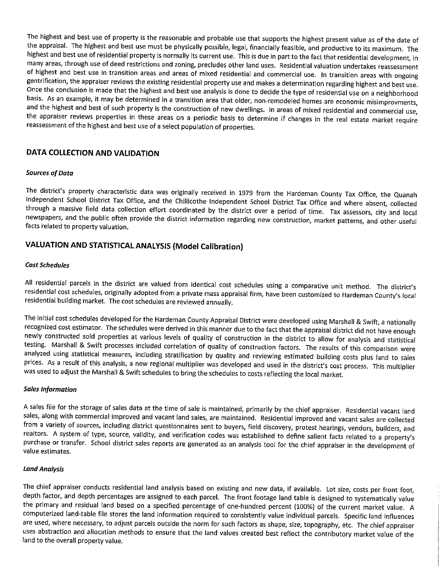The highest and best use of property is the reasonable and probable use that supports the highest present value as of the date of the appraisal. The highest and best use must be physically possible, legal, financially feasible, and productive to its maximum. The highest and best use of residential property is normally its current use. This is due in part to the fact that residential development, in many areas, through use of deed restrictions and zoning, precludes other land uses. Residential valuation undertakes reassessment of highest and best use in transition areas and areas of mixed residential and commercial use. In transition areas with ongoing gentrification, the appraiser reviews the existing residential property use and makes a determination regarding highest and best use. Once the conclusion is made that the highest and best use analysis is done to decide the type of residential use on a neighborhood basis. As an example, it may be determined in a transition area that older, non-remodeled homes are economic misimprovments, and the highest and best of such property is the construction of new dwellings. In areas of mixed residential and commercial use, the appraiser reviews properties in these areas on a periodic basis to determine if changes in the real estate market require reassessment of the highest and best use of a select population of properties.

### DATA COLLECTION AND VALIDATION

#### **Sources of Data**

The district's property characteristic data was originally received in 1979 from the Hardeman County Tax Office, the Quanah Independent School District Tax Office, and the Chillicothe Independent School District Tax Office and where absent, collected through a massive field data collection effort coordinated by the district over a period of time. Tax assessors, city and local newspapers, and the public often provide the district information regarding new construction, market patterns, and other useful facts related to property valuation.

## VALUATION AND STATISTICAL ANALYSIS (Model Calibration)

#### **Cost Schedules**

All residential parcels in the district are valued from identical cost schedules using a comparative unit method. The district's residential cost schedules, originally adopted from a private mass appraisal firm, have been customized to Hardeman County's local residential building market. The cost schedules are reviewed annually.

The initial cost schedules developed for the Hardeman County Appraisal District were developed using Marshall & Swift, a nationally recognized cost estimator. The schedules were derived in this manner due to the fact that the appraisal district did not have enough newly constructed sold properties at various levels of quality of construction in the district to allow for analysis and statistical testing. Marshall & Swift processes included correlation of quality of construction factors. The results of this comparison were analyzed using statistical measures, including stratification by quality and reviewing estimated building costs plus land to sales prices. As a result of this analysis, a new regional multiplier was developed and used in the district's cost process. This multiplier was used to adjust the Marshall & Swift schedules to bring the schedules to costs reflecting the local market.

#### **Sales Information**

A sales file for the storage of sales data at the time of sale is maintained, primarily by the chief appraiser. Residential vacant land sales, along with commercial improved and vacant land sales, are maintained. Residential improved and vacant sales are collected from a variety of sources, including district questionnaires sent to buyers, field discovery, protest hearings, vendors, builders, and realtors. A system of type, source, validity, and verification codes was established to define salient facts related to a property's purchase or transfer. School district sales reports are generated as an analysis tool for the chief appraiser in the development of value estimates.

#### **Land Analysis**

The chief appraiser conducts residential land analysis based on existing and new data, if available. Lot size, costs per front foot, depth factor, and depth percentages are assigned to each parcel. The front footage land table is designed to systematically value the primary and residual land based on a specified percentage of one-hundred percent (100%) of the current market value. A computerized land-table file stores the land information required to consistently value individual parcels. Specific land influences are used, where necessary, to adjust parcels outside the norm for such factors as shape, size, topography, etc. The chief appraiser uses abstraction and allocation methods to ensure that the land values created best reflect the contributory market value of the land to the overall property value.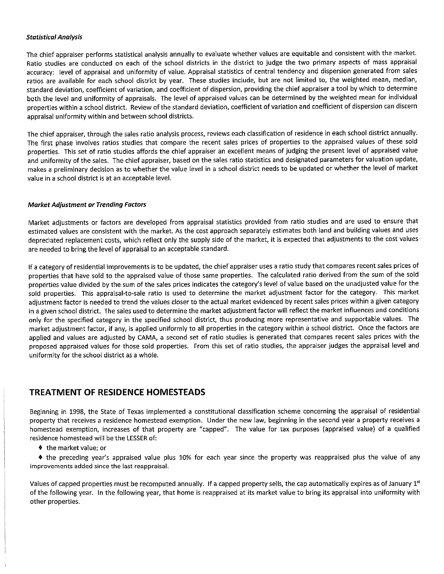#### **Statistical Analysis**

The chief appraiser performs statistical analysis annually to evaluate whether values are equitable and consistent with the market. Ratio studies are conducted on each of the school districts in the district to judge the two primary aspects of mass appraisal accuracy: level of appraisal and uniformity of value. Appraisal statistics of central tendency and dispersion generated from sales ratios are available for each school district by year. These studies include, but are not limited to, the weighted mean, median, standard deviation, coefficient of variation, and coefficient of dispersion, providing the chief appraiser a tool by which to determine both the level and uniformity of appraisals. The level of appraised values can be determined by the weighted mean for individual properties within a school district. Review of the standard deviation, coefficient of variation and coefficient of dispersion can discern appraisal uniformity within and between school districts.

The chief appraiser, through the sales ratio analysis process, reviews each classification of residence in each school district annually. The first phase involves ratios studies that compare the recent sales prices of properties to the appraised values of these sold properties. This set of ratio studies affords the chief appraiser an excellent means of judging the present level of appraised value and uniformity of the sales. The chief appraiser, based on the sales ratio statistics and designated parameters for valuation update, makes a preliminary decision as to whether the value level in a school district needs to be updated or whether the level of market value in a school district is at an acceptable level.

#### **Market Adjustment or Trending Factors**

Market adjustments or factors are developed from appraisal statistics provided from ratio studies and are used to ensure that estimated values are consistent with the market. As the cost approach separately estimates both land and building values and uses depreciated replacement costs, which reflect only the supply side of the market, it is expected that adjustments to the cost values are needed to bring the level of appraisal to an acceptable standard.

If a category of residential improvements is to be updated, the chief appraiser uses a ratio study that compares recent sales prices of properties that have sold to the appraised value of those same properties. The calculated ratio derived from the sum of the sold properties value divided by the sum of the sales prices indicates the category's level of value based on the unadjusted value for the sold properties. This appraisal-to-sale ratio is used to determine the market adjustment factor for the category. This market adjustment factor is needed to trend the values closer to the actual market evidenced by recent sales prices within a given category in a given school district. The sales used to determine the market adjustment factor will reflect the market influences and conditions only for the specified category in the specified school district, thus producing more representative and supportable values. The market adjustment factor, if any, is applied uniformly to all properties in the category within a school district. Once the factors are applied and values are adjusted by CAMA, a second set of ratio studies is generated that compares recent sales prices with the proposed appraised values for those sold properties. From this set of ratio studies, the appraiser judges the appraisal level and uniformity for the school district as a whole.

### **TREATMENT OF RESIDENCE HOMESTEADS**

Beginning in 1998, the State of Texas implemented a constitutional classification scheme concerning the appraisal of residential property that receives a residence homestead exemption. Under the new law, beginning in the second year a property receives a homestead exemption, increases of that property are "capped". The value for tax purposes (appraised value) of a qualified residence homestead will be the LESSER of:

♦ the market value; or

 $\bullet$  the preceding year's appraised value plus 10% for each year since the property was reappraised plus the value of any improvements added since the last reappraisal.

Values of capped properties must be recomputed annually. If a capped property sells, the cap automatically expires as of January 1st of the following year. In the following year, that home is reappraised at its market value to bring its appraisal into uniformity with other properties.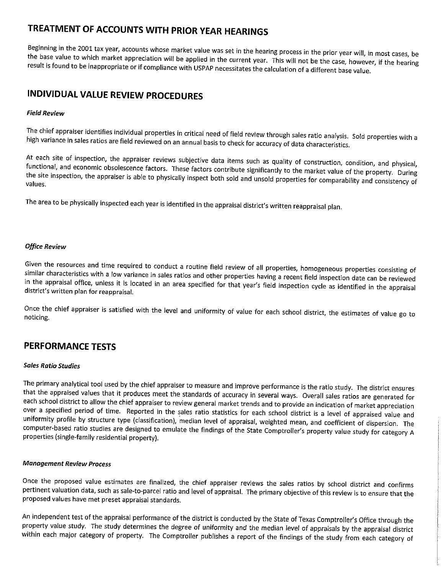## TREATMENT OF ACCOUNTS WITH PRIOR YEAR HEARINGS

Beginning in the 2001 tax year, accounts whose market value was set in the hearing process in the prior year will, in most cases, be the base value to which market appreciation will be applied in the current year. This will not be the case, however, if the hearing result is found to be inappropriate or if compliance with USPAP necessitates the calculation of a different base value.

## **INDIVIDUAL VALUE REVIEW PROCEDURES**

#### **Field Review**

The chief appraiser identifies individual properties in critical need of field review through sales ratio analysis. Sold properties with a high variance in sales ratios are field reviewed on an annual basis to check for accuracy of data characteristics.

At each site of inspection, the appraiser reviews subjective data items such as quality of construction, condition, and physical, functional, and economic obsolescence factors. These factors contribute significantly to the market value of the property. During the site inspection, the appraiser is able to physically inspect both sold and unsold properties for comparability and consistency of values.

The area to be physically inspected each year is identified in the appraisal district's written reappraisal plan.

#### **Office Review**

Given the resources and time required to conduct a routine field review of all properties, homogeneous properties consisting of similar characteristics with a low variance in sales ratios and other properties having a recent field inspection date can be reviewed in the appraisal office, unless it is located in an area specified for that year's field inspection cycle as identified in the appraisal district's written plan for reappraisal.

Once the chief appraiser is satisfied with the level and uniformity of value for each school district, the estimates of value go to noticing.

## **PERFORMANCE TESTS**

#### **Sales Ratio Studies**

The primary analytical tool used by the chief appraiser to measure and improve performance is the ratio study. The district ensures that the appraised values that it produces meet the standards of accuracy in several ways. Overall sales ratios are generated for each school district to allow the chief appraiser to review general market trends and to provide an indication of market appreciation over a specified period of time. Reported in the sales ratio statistics for each school district is a level of appraised value and uniformity profile by structure type (classification), median level of appraisal, weighted mean, and coefficient of dispersion. The computer-based ratio studies are designed to emulate the findings of the State Comptroller's property value study for category A properties (single-family residential property).

#### **Management Review Process**

Once the proposed value estimates are finalized, the chief appraiser reviews the sales ratios by school district and confirms pertinent valuation data, such as sale-to-parcel ratio and level of appraisal. The primary objective of this review is to ensure that the proposed values have met preset appraisal standards.

An independent test of the appraisal performance of the district is conducted by the State of Texas Comptroller's Office through the property value study. The study determines the degree of uniformity and the median level of appraisals by the appraisal district within each major category of property. The Comptroller publishes a report of the findings of the study from each category of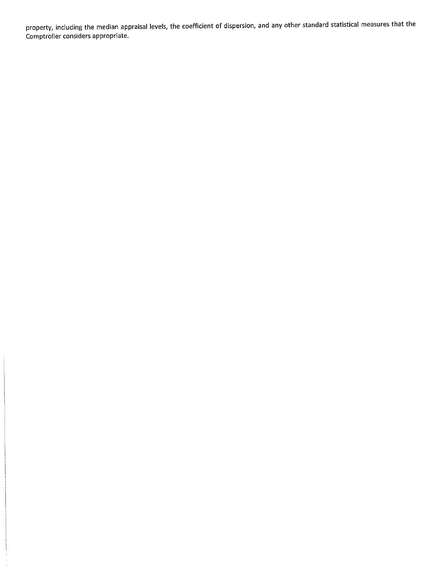property, including the median appraisal levels, the coefficient of dispersion, and any other standard statistical measures that the Comptroller considers appropriate.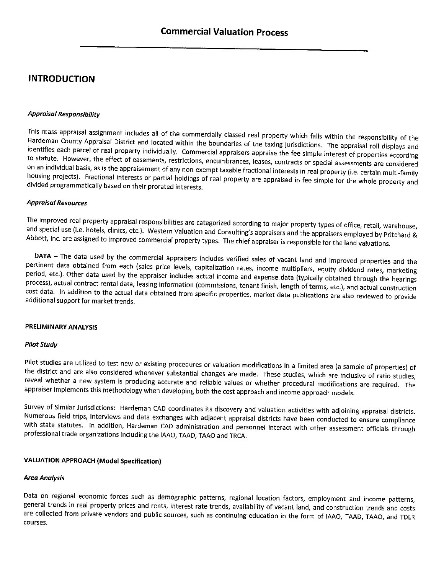## **INTRODUCTION**

#### **Appraisal Responsibility**

This mass appraisal assignment includes all of the commercially classed real property which falls within the responsibility of the Hardeman County Appraisal District and located within the boundaries of the taxing jurisdictions. The appraisal roll displays and identifies each parcel of real property individually. Commercial appraisers appraise the fee simple interest of properties according to statute. However, the effect of easements, restrictions, encumbrances, leases, contracts or special assessments are considered on an individual basis, as is the appraisement of any non-exempt taxable fractional interests in real property (i.e. certain multi-family housing projects). Fractional interests or partial holdings of real property are appraised in fee simple for the whole property and divided programmatically based on their prorated interests.

#### **Appraisal Resources**

The improved real property appraisal responsibilities are categorized according to major property types of office, retail, warehouse, and special use (i.e. hotels, clinics, etc.). Western Valuation and Consulting's appraisers and the appraisers employed by Pritchard & Abbott, Inc. are assigned to improved commercial property types. The chief appraiser is responsible for the land valuations.

DATA - The data used by the commercial appraisers includes verified sales of vacant land and improved properties and the pertinent data obtained from each (sales price levels, capitalization rates, income multipliers, equity dividend rates, marketing period, etc.). Other data used by the appraiser includes actual income and expense data (typically obtained through the hearings process), actual contract rental data, leasing information (commissions, tenant finish, length of terms, etc.), and actual construction cost data. In addition to the actual data obtained from specific properties, market data publications are also reviewed to provide additional support for market trends.

#### PRELIMINARY ANALYSIS

#### **Pilot Study**

Pilot studies are utilized to test new or existing procedures or valuation modifications in a limited area (a sample of properties) of the district and are also considered whenever substantial changes are made. These studies, which are inclusive of ratio studies, reveal whether a new system is producing accurate and reliable values or whether procedural modifications are required. The appraiser implements this methodology when developing both the cost approach and income approach models.

Survey of Similar Jurisdictions: Hardeman CAD coordinates its discovery and valuation activities with adjoining appraisal districts. Numerous field trips, interviews and data exchanges with adjacent appraisal districts have been conducted to ensure compliance with state statutes. In addition, Hardeman CAD administration and personnel interact with other assessment officials through professional trade organizations including the IAAO, TAAD, TAAO and TRCA.

#### **VALUATION APPROACH (Model Specification)**

#### **Area Analysis**

Data on regional economic forces such as demographic patterns, regional location factors, employment and income patterns, general trends in real property prices and rents, interest rate trends, availability of vacant land, and construction trends and costs are collected from private vendors and public sources, such as continuing education in the form of IAAO, TAAD, TAAO, and TDLR courses.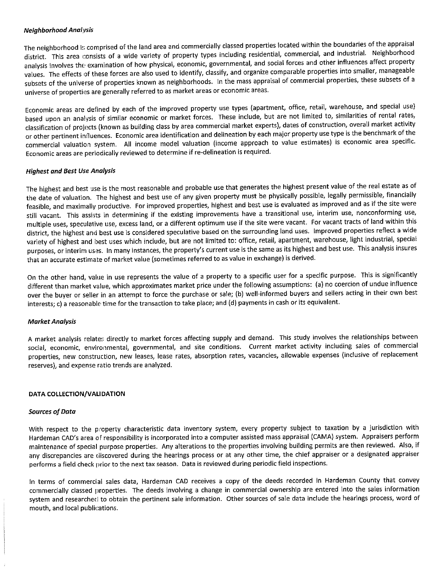#### **Neighborhood Analysis**

The neighborhood is comprised of the land area and commercially classed properties located within the boundaries of the appraisal district. This area consists of a wide variety of property types including residential, commercial, and industrial. Neighborhood analysis involves the examination of how physical, economic, governmental, and social forces and other influences affect property values. The effects of these forces are also used to identify, classify, and organize comparable properties into smaller, manageable subsets of the universe of properties known as neighborhoods. In the mass appraisal of commercial properties, these subsets of a universe of properties are generally referred to as market areas or economic areas.

Economic areas are defined by each of the improved property use types (apartment, office, retail, warehouse, and special use) based upon an analysis of similar economic or market forces. These include, but are not limited to, similarities of rental rates, classification of projects (known as building class by area commercial market experts), dates of construction, overall market activity or other pertinent influences. Economic area identification and delineation by each major property use type is the benchmark of the commercial valuation system. All income model valuation (income approach to value estimates) is economic area specific. Economic areas are periodically reviewed to determine if re-delineation is required.

#### **Highest and Best Use Analysis**

The highest and best use is the most reasonable and probable use that generates the highest present value of the real estate as of the date of valuation. The highest and best use of any given property must be physically possible, legally permissible, financially feasible, and maximally productive. For improved properties, highest and best use is evaluated as improved and as if the site were still vacant. This assists in determining if the existing improvements have a transitional use, interim use, nonconforming use, multiple uses, speculative use, excess land, or a different optimum use if the site were vacant. For vacant tracts of land within this district, the highest and best use is considered speculative based on the surrounding land uses. Improved properties reflect a wide variety of highest and best uses which include, but are not limited to: office, retail, apartment, warehouse, light industrial, special purposes, or interim uses. In many instances, the property's current use is the same as its highest and best use. This analysis insures that an accurate estimate of market value (sometimes referred to as value in exchange) is derived.

On the other hand, value in use represents the value of a property to a specific user for a specific purpose. This is significantly different than market value, which approximates market price under the following assumptions: (a) no coercion of undue influence over the buyer or seller in an attempt to force the purchase or sale; (b) well-informed buyers and sellers acting in their own best interests; c) a reasonable time for the transaction to take place; and (d) payments in cash or its equivalent.

#### **Market Analysis**

A market analysis relates directly to market forces affecting supply and demand. This study involves the relationships between social, economic, environmental, governmental, and site conditions. Current market activity including sales of commercial properties, new construction, new leases, lease rates, absorption rates, vacancies, allowable expenses (inclusive of replacement reserves), and expense ratio trends are analyzed.

#### DATA COLLECTION/VALIDATION

#### **Sources of Data**

With respect to the property characteristic data inventory system, every property subject to taxation by a jurisdiction with Hardeman CAD's area of responsibility is incorporated into a computer assisted mass appraisal (CAMA) system. Appraisers perform maintenance of special purpose properties. Any alterations to the properties involving building permits are then reviewed. Also, if any discrepancies are discovered during the hearings process or at any other time, the chief appraiser or a designated appraiser performs a field check prior to the next tax season. Data is reviewed during periodic field inspections.

In terms of commercial sales data, Hardeman CAD receives a copy of the deeds recorded in Hardeman County that convey commercially classed properties. The deeds involving a change in commercial ownership are entered into the sales information system and researched to obtain the pertinent sale information. Other sources of sale data include the hearings process, word of mouth, and local publications.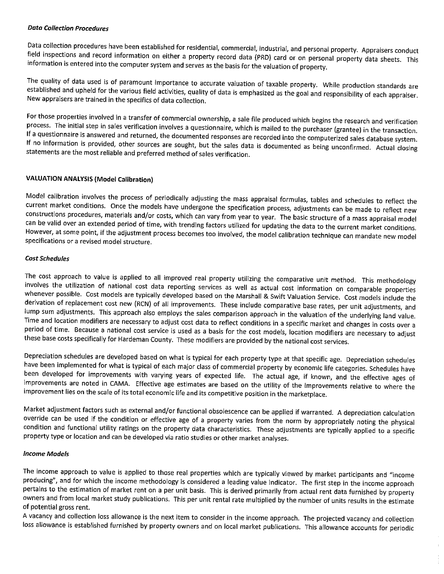#### **Data Collection Procedures**

Data collection procedures have been established for residential, commercial, industrial, and personal property. Appraisers conduct field inspections and record information on either a property record data (PRD) card or on personal property data sheets. This information is entered into the computer system and serves as the basis for the valuation of property.

The quality of data used is of paramount importance to accurate valuation of taxable property. While production standards are established and upheld for the various field activities, quality of data is emphasized as the goal and responsibility of each appraiser. New appraisers are trained in the specifics of data collection.

For those properties involved in a transfer of commercial ownership, a sale file produced which begins the research and verification process. The initial step in sales verification involves a questionnaire, which is mailed to the purchaser (grantee) in the transaction. If a questionnaire is answered and returned, the documented responses are recorded into the computerized sales database system. If no information is provided, other sources are sought, but the sales data is documented as being unconfirmed. Actual closing statements are the most reliable and preferred method of sales verification.

#### **VALUATION ANALYSIS (Model Calibration)**

Model calibration involves the process of periodically adjusting the mass appraisal formulas, tables and schedules to reflect the current market conditions. Once the models have undergone the specification process, adjustments can be made to reflect new constructions procedures, materials and/or costs, which can vary from year to year. The basic structure of a mass appraisal model can be valid over an extended period of time, with trending factors utilized for updating the data to the current market conditions. However, at some point, if the adjustment process becomes too involved, the model calibration technique can mandate new model specifications or a revised model structure.

#### **Cost Schedules**

The cost approach to value is applied to all improved real property utilizing the comparative unit method. This methodology involves the utilization of national cost data reporting services as well as actual cost information on comparable properties whenever possible. Cost models are typically developed based on the Marshall & Swift Valuation Service. Cost models include the derivation of replacement cost new (RCN) of all improvements. These include comparative base rates, per unit adjustments, and lump sum adjustments. This approach also employs the sales comparison approach in the valuation of the underlying land value. Time and location modifiers are necessary to adjust cost data to reflect conditions in a specific market and changes in costs over a period of time. Because a national cost service is used as a basis for the cost models, location modifiers are necessary to adjust these base costs specifically for Hardeman County. These modifiers are provided by the national cost services.

Depreciation schedules are developed based on what is typical for each property type at that specific age. Depreciation schedules have been implemented for what is typical of each major class of commercial property by economic life categories. Schedules have been developed for improvements with varying years of expected life. The actual age, if known, and the effective ages of improvements are noted in CAMA. Effective age estimates are based on the utility of the improvements relative to where the improvement lies on the scale of its total economic life and its competitive position in the marketplace.

Market adjustment factors such as external and/or functional obsolescence can be applied if warranted. A depreciation calculation override can be used if the condition or effective age of a property varies from the norm by appropriately noting the physical condition and functional utility ratings on the property data characteristics. These adjustments are typically applied to a specific property type or location and can be developed via ratio studies or other market analyses.

#### **Income Models**

The income approach to value is applied to those real properties which are typically viewed by market participants and "income producing", and for which the income methodology is considered a leading value indicator. The first step in the income approach pertains to the estimation of market rent on a per unit basis. This is derived primarily from actual rent data furnished by property owners and from local market study publications. This per unit rental rate multiplied by the number of units results in the estimate of potential gross rent.

A vacancy and collection loss allowance is the next item to consider in the income approach. The projected vacancy and collection loss allowance is established furnished by property owners and on local market publications. This allowance accounts for periodic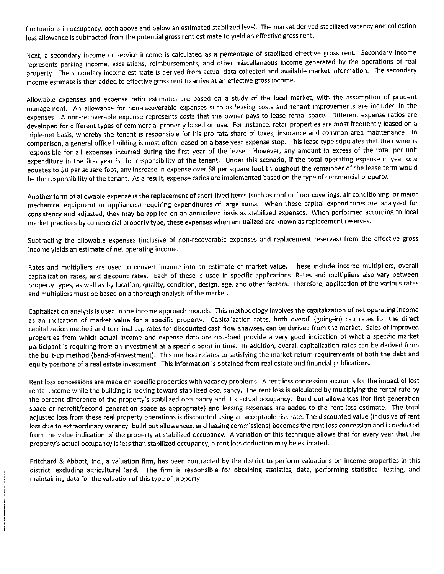fluctuations in occupancy, both above and below an estimated stabilized level. The market derived stabilized vacancy and collection loss allowance is subtracted from the potential gross rent estimate to yield an effective gross rent.

Next, a secondary income or service income is calculated as a percentage of stabilized effective gross rent. Secondary income represents parking income, escalations, reimbursements, and other miscellaneous income generated by the operations of real property. The secondary income estimate is derived from actual data collected and available market information. The secondary income estimate is then added to effective gross rent to arrive at an effective gross income.

Allowable expenses and expense ratio estimates are based on a study of the local market, with the assumption of prudent management. An allowance for non-recoverable expenses such as leasing costs and tenant improvements are included in the expenses. A non-recoverable expense represents costs that the owner pays to lease rental space. Different expense ratios are developed for different types of commercial property based on use. For instance, retail properties are most frequently leased on a triple-net basis, whereby the tenant is responsible for his pro-rata share of taxes, insurance and common area maintenance. In comparison, a general office building is most often leased on a base year expense stop. This lease type stipulates that the owner is responsible for all expenses incurred during the first year of the lease. However, any amount in excess of the total per unit expenditure in the first year is the responsibility of the tenant. Under this scenario, if the total operating expense in year one equates to \$8 per square foot, any increase in expense over \$8 per square foot throughout the remainder of the lease term would be the responsibility of the tenant. As a result, expense ratios are implemented based on the type of commercial property.

Another form of allowable expense is the replacement of short-lived items (such as roof or floor coverings, air conditioning, or major mechanical equipment or appliances) requiring expenditures of large sums. When these capital expenditures are analyzed for consistency and adjusted, they may be applied on an annualized basis as stabilized expenses. When performed according to local market practices by commercial property type, these expenses when annualized are known as replacement reserves.

Subtracting the allowable expenses (inclusive of non-recoverable expenses and replacement reserves) from the effective gross income yields an estimate of net operating income.

Rates and multipliers are used to convert income into an estimate of market value. These include income multipliers, overall capitalization rates, and discount rates. Each of these is used in specific applications. Rates and multipliers also vary between property types, as well as by location, quality, condition, design, age, and other factors. Therefore, application of the various rates and multipliers must be based on a thorough analysis of the market.

Capitalization analysis is used in the income approach models. This methodology involves the capitalization of net operating income as an indication of market value for a specific property. Capitalization rates, both overall (going-in) cap rates for the direct capitalization method and terminal cap rates for discounted cash flow analyses, can be derived from the market. Sales of improved properties from which actual income and expense data are obtained provide a very good indication of what a specific market participant is requiring from an investment at a specific point in time. In addition, overall capitalization rates can be derived from the built-up method (band-of-investment). This method relates to satisfying the market return requirements of both the debt and equity positions of a real estate investment. This information is obtained from real estate and financial publications.

Rent loss concessions are made on specific properties with vacancy problems. A rent loss concession accounts for the impact of lost rental income while the building is moving toward stabilized occupancy. The rent loss is calculated by multiplying the rental rate by the percent difference of the property's stabilized occupancy and it s actual occupancy. Build out allowances (for first generation space or retrofit/second generation space as appropriate) and leasing expenses are added to the rent loss estimate. The total adjusted loss from these real property operations is discounted using an acceptable risk rate. The discounted value (inclusive of rent loss due to extraordinary vacancy, build out allowances, and leasing commissions) becomes the rent loss concession and is deducted from the value indication of the property at stabilized occupancy. A variation of this technique allows that for every year that the property's actual occupancy is less than stabilized occupancy, a rent loss deduction may be estimated.

Pritchard & Abbott, Inc., a valuation firm, has been contracted by the district to perform valuations on income properties in this district, excluding agricultural land. The firm is responsible for obtaining statistics, data, performing statistical testing, and maintaining data for the valuation of this type of property.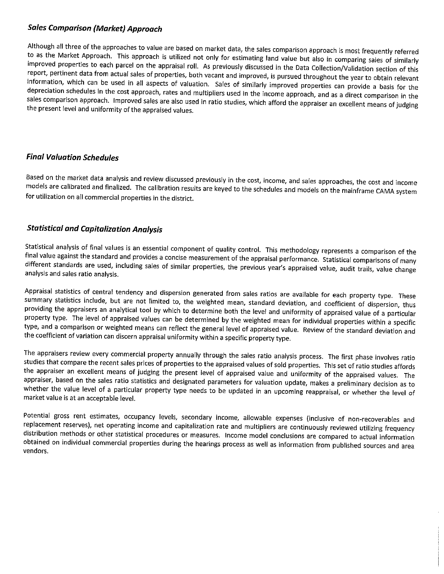### **Sales Comparison (Market) Approach**

Although all three of the approaches to value are based on market data, the sales comparison approach is most frequently referred to as the Market Approach. This approach is utilized not only for estimating land value but also in comparing sales of similarly improved properties to each parcel on the appraisal roll. As previously discussed in the Data Collection/Validation section of this report, pertinent data from actual sales of properties, both vacant and improved, is pursued throughout the year to obtain relevant information, which can be used in all aspects of valuation. Sales of similarly improved properties can provide a basis for the depreciation schedules in the cost approach, rates and multipliers used in the income approach, and as a direct comparison in the sales comparison approach. Improved sales are also used in ratio studies, which afford the appraiser an excellent means of judging the present level and uniformity of the appraised values.

### **Final Valuation Schedules**

Based on the market data analysis and review discussed previously in the cost, income, and sales approaches, the cost and income models are calibrated and finalized. The calibration results are keyed to the schedules and models on the mainframe CAMA system for utilization on all commercial properties in the district.

### **Statistical and Capitalization Analysis**

Statistical analysis of final values is an essential component of quality control. This methodology represents a comparison of the final value against the standard and provides a concise measurement of the appraisal performance. Statistical comparisons of many different standards are used, including sales of similar properties, the previous year's appraised value, audit trails, value change analysis and sales ratio analysis.

Appraisal statistics of central tendency and dispersion generated from sales ratios are available for each property type. These summary statistics include, but are not limited to, the weighted mean, standard deviation, and coefficient of dispersion, thus providing the appraisers an analytical tool by which to determine both the level and uniformity of appraised value of a particular property type. The level of appraised values can be determined by the weighted mean for individual properties within a specific type, and a comparison or weighted means can reflect the general level of appraised value. Review of the standard deviation and the coefficient of variation can discern appraisal uniformity within a specific property type.

The appraisers review every commercial property annually through the sales ratio analysis process. The first phase involves ratio studies that compare the recent sales prices of properties to the appraised values of sold properties. This set of ratio studies affords the appraiser an excellent means of judging the present level of appraised value and uniformity of the appraised values. The appraiser, based on the sales ratio statistics and designated parameters for valuation update, makes a preliminary decision as to whether the value level of a particular property type needs to be updated in an upcoming reappraisal, or whether the level of market value is at an acceptable level.

Potential gross rent estimates, occupancy levels, secondary income, allowable expenses (inclusive of non-recoverables and replacement reserves), net operating income and capitalization rate and multipliers are continuously reviewed utilizing frequency distribution methods or other statistical procedures or measures. Income model conclusions are compared to actual information obtained on individual commercial properties during the hearings process as well as information from published sources and area vendors.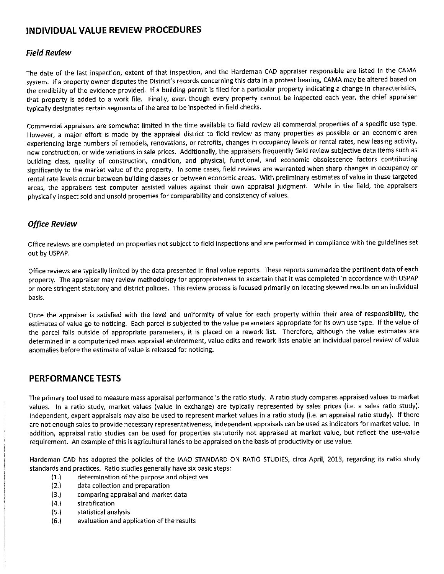## INDIVIDUAL VALUE REVIEW PROCEDURES

#### **Field Review**

The date of the last inspection, extent of that inspection, and the Hardeman CAD appraiser responsible are listed in the CAMA system. If a property owner disputes the District's records concerning this data in a protest hearing, CAMA may be altered based on the credibility of the evidence provided. If a building permit is filed for a particular property indicating a change in characteristics, that property is added to a work file. Finally, even though every property cannot be inspected each year, the chief appraiser typically designates certain segments of the area to be inspected in field checks.

Commercial appraisers are somewhat limited in the time available to field review all commercial properties of a specific use type. However, a major effort is made by the appraisal district to field review as many properties as possible or an economic area experiencing large numbers of remodels, renovations, or retrofits, changes in occupancy levels or rental rates, new leasing activity, new construction, or wide variations in sale prices. Additionally, the appraisers frequently field review subjective data items such as building class, quality of construction, condition, and physical, functional, and economic obsolescence factors contributing significantly to the market value of the property. In some cases, field reviews are warranted when sharp changes in occupancy or rental rate levels occur between building classes or between economic areas. With preliminary estimates of value in these targeted areas, the appraisers test computer assisted values against their own appraisal judgment. While in the field, the appraisers physically inspect sold and unsold properties for comparability and consistency of values.

#### **Office Review**

Office reviews are completed on properties not subject to field inspections and are performed in compliance with the guidelines set out by USPAP.

Office reviews are typically limited by the data presented in final value reports. These reports summarize the pertinent data of each property. The appraiser may review methodology for appropriateness to ascertain that it was completed in accordance with USPAP or more stringent statutory and district policies. This review process is focused primarily on locating skewed results on an individual basis.

Once the appraiser is satisfied with the level and uniformity of value for each property within their area of responsibility, the estimates of value go to noticing. Each parcel is subjected to the value parameters appropriate for its own use type. If the value of the parcel falls outside of appropriate parameters, it is placed on a rework list. Therefore, although the value estimates are determined in a computerized mass appraisal environment, value edits and rework lists enable an individual parcel review of value anomalies before the estimate of value is released for noticing.

### **PERFORMANCE TESTS**

The primary tool used to measure mass appraisal performance is the ratio study. A ratio study compares appraised values to market values. In a ratio study, market values (value in exchange) are typically represented by sales prices (i.e. a sales ratio study). Independent, expert appraisals may also be used to represent market values in a ratio study (i.e. an appraisal ratio study). If there are not enough sales to provide necessary representativeness, independent appraisals can be used as indicators for market value. In addition, appraisal ratio studies can be used for properties statutorily not appraised at market value, but reflect the use-value requirement. An example of this is agricultural lands to be appraised on the basis of productivity or use value.

Hardeman CAD has adopted the policies of the IAAO STANDARD ON RATIO STUDIES, circa April, 2013, regarding its ratio study standards and practices. Ratio studies generally have six basic steps:

- $(1.)$ determination of the purpose and objectives
- $(2.)$ data collection and preparation
- $(3.)$ comparing appraisal and market data
- $(4)$ stratification
- $(5.)$ statistical analysis
- $(6.)$ evaluation and application of the results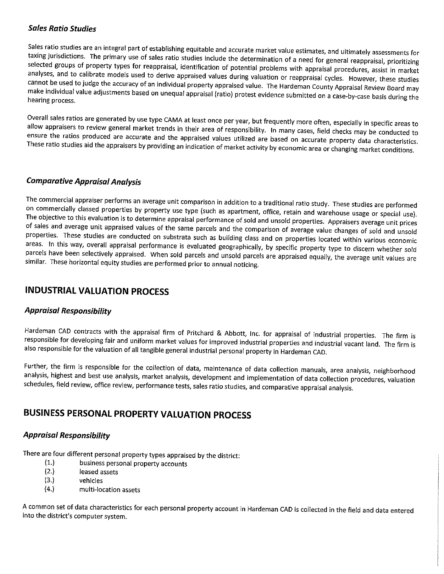### **Sales Ratio Studies**

Sales ratio studies are an integral part of establishing equitable and accurate market value estimates, and ultimately assessments for taxing jurisdictions. The primary use of sales ratio studies include the determination of a need for general reappraisal, prioritizing selected groups of property types for reappraisal, identification of potential problems with appraisal procedures, assist in market analyses, and to calibrate models used to derive appraised values during valuation or reappraisal cycles. However, these studies cannot be used to judge the accuracy of an individual property appraised value. The Hardeman County Appraisal Review Board may make individual value adjustments based on unequal appraisal (ratio) protest evidence submitted on a case-by-case basis during the hearing process.

Overall sales ratios are generated by use type CAMA at least once per year, but frequently more often, especially in specific areas to allow appraisers to review general market trends in their area of responsibility. In many cases, field checks may be conducted to ensure the ratios produced are accurate and the appraised values utilized are based on accurate property data characteristics. These ratio studies aid the appraisers by providing an indication of market activity by economic area or changing market conditions.

### **Comparative Appraisal Analysis**

The commercial appraiser performs an average unit comparison in addition to a traditional ratio study. These studies are performed on commercially classed properties by property use type (such as apartment, office, retain and warehouse usage or special use). The objective to this evaluation is to determine appraisal performance of sold and unsold properties. Appraisers average unit prices of sales and average unit appraised values of the same parcels and the comparison of average value changes of sold and unsold properties. These studies are conducted on substrata such as building class and on properties located within various economic areas. In this way, overall appraisal performance is evaluated geographically, by specific property type to discern whether sold parcels have been selectively appraised. When sold parcels and unsold parcels are appraised equally, the average unit values are similar. These horizontal equity studies are performed prior to annual noticing.

## **INDUSTRIAL VALUATION PROCESS**

### **Appraisal Responsibility**

Hardeman CAD contracts with the appraisal firm of Pritchard & Abbott, Inc. for appraisal of industrial properties. The firm is responsible for developing fair and uniform market values for improved industrial properties and industrial vacant land. The firm is also responsible for the valuation of all tangible general industrial personal property in Hardeman CAD.

Further, the firm is responsible for the collection of data, maintenance of data collection manuals, area analysis, neighborhood analysis, highest and best use analysis, market analysis, development and implementation of data collection procedures, valuation schedules, field review, office review, performance tests, sales ratio studies, and comparative appraisal analysis.

## **BUSINESS PERSONAL PROPERTY VALUATION PROCESS**

### **Appraisal Responsibility**

There are four different personal property types appraised by the district:

- $(1.)$ business personal property accounts
- $(2.)$ leased assets
- $(3.)$ vehicles
- $(4.)$ multi-location assets

A common set of data characteristics for each personal property account in Hardeman CAD is collected in the field and data entered into the district's computer system.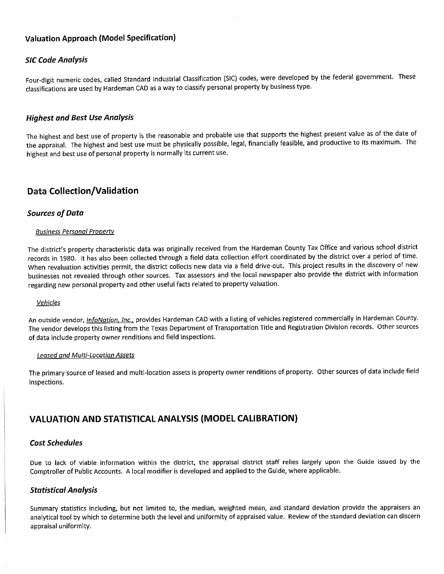### **Valuation Approach (Model Specification)**

#### **SIC Code Analysis**

Four-digit numeric codes, called Standard Industrial Classification (SIC) codes, were developed by the federal government. These classifications are used by Hardeman CAD as a way to classify personal property by business type.

#### **Highest and Best Use Analysis**

The highest and best use of property is the reasonable and probable use that supports the highest present value as of the date of the appraisal. The highest and best use must be physically possible, legal, financially feasible, and productive to its maximum. The highest and best use of personal property is normally its current use.

### **Data Collection/Validation**

#### **Sources of Data**

#### **Business Personal Property**

The district's property characteristic data was originally received from the Hardeman County Tax Office and various school district records in 1980. It has also been collected through a field data collection effort coordinated by the district over a period of time. When revaluation activities permit, the district collects new data via a field drive-out. This project results in the discovery of new businesses not revealed through other sources. Tax assessors and the local newspaper also provide the district with information regarding new personal property and other useful facts related to property valuation.

#### Vehicles

An outside vendor, *InfoNation, Inc.*, provides Hardeman CAD with a listing of vehicles registered commercially in Hardeman County. The vendor develops this listing from the Texas Department of Transportation Title and Registration Division records. Other sources of data include property owner renditions and field inspections.

#### **Leased and Multi-Location Assets**

The primary source of leased and multi-location assets is property owner renditions of property. Other sources of data include field inspections.

### **VALUATION AND STATISTICAL ANALYSIS (MODEL CALIBRATION)**

#### **Cost Schedules**

Due to lack of viable information within the district, the appraisal district staff relies largely upon the Guide issued by the Comptroller of Public Accounts. A local modifier is developed and applied to the Guide, where applicable.

#### **Statistical Analysis**

Summary statistics including, but not limited to, the median, weighted mean, and standard deviation provide the appraisers an analytical tool by which to determine both the level and uniformity of appraised value. Review of the standard deviation can discern appraisal uniformity.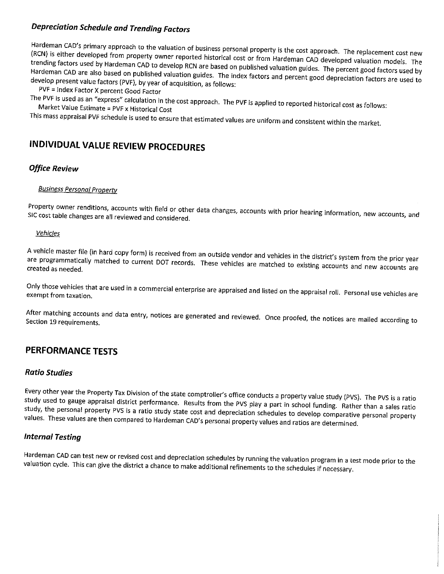## **Depreciation Schedule and Trending Factors**

Hardeman CAD's primary approach to the valuation of business personal property is the cost approach. The replacement cost new (RCN) is either developed from property owner reported historical cost or from Hardeman CAD developed valuation models. The trending factors used by Hardeman CAD to develop RCN are based on published valuation guides. The percent good factors used by Hardeman CAD are also based on published valuation guides. The index factors and percent good depreciation factors are used to develop present value factors (PVF), by year of acquisition, as follows:

PVF = Index Factor X percent Good Factor

The PVF is used as an "express" calculation in the cost approach. The PVF is applied to reported historical cost as follows: Market Value Estimate = PVF x Historical Cost

This mass appraisal PVF schedule is used to ensure that estimated values are uniform and consistent within the market.

# INDIVIDUAL VALUE REVIEW PROCEDURES

#### **Office Review**

#### **Business Personal Property**

Property owner renditions, accounts with field or other data changes, accounts with prior hearing information, new accounts, and SIC cost table changes are all reviewed and considered.

#### **Vehicles**

A vehicle master file (in hard copy form) is received from an outside vendor and vehicles in the district's system from the prior year are programmatically matched to current DOT records. These vehicles are matched to existing accounts and new accounts are created as needed.

Only those vehicles that are used in a commercial enterprise are appraised and listed on the appraisal roll. Personal use vehicles are exempt from taxation.

After matching accounts and data entry, notices are generated and reviewed. Once proofed, the notices are mailed according to Section 19 requirements.

## PERFORMANCE TESTS

#### **Ratio Studies**

Every other year the Property Tax Division of the state comptroller's office conducts a property value study (PVS). The PVS is a ratio study used to gauge appraisal district performance. Results from the PVS play a part in school funding. Rather than a sales ratio study, the personal property PVS is a ratio study state cost and depreciation schedules to develop comparative personal property values. These values are then compared to Hardeman CAD's personal property values and ratios are determined.

#### **Internal Testing**

Hardeman CAD can test new or revised cost and depreciation schedules by running the valuation program in a test mode prior to the valuation cycle. This can give the district a chance to make additional refinements to the schedules if necessary.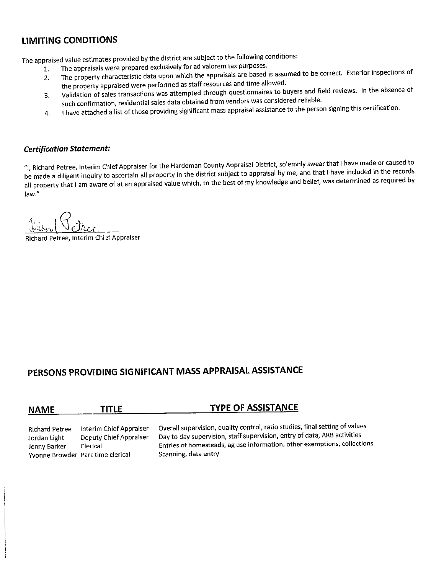## **LIMITING CONDITIONS**

The appraised value estimates provided by the district are subject to the following conditions:

- The appraisals were prepared exclusively for ad valorem tax purposes.  $1.$ 
	- The property characteristic data upon which the appraisals are based is assumed to be correct. Exterior inspections of  $2.$ the property appraised were performed as staff resources and time allowed.
	- Validation of sales transactions was attempted through questionnaires to buyers and field reviews. In the absence of 3. such confirmation, residential sales data obtained from vendors was considered reliable.
	- I have attached a list of those providing significant mass appraisal assistance to the person signing this certification. 4.

#### **Certification Statement:**

"I, Richard Petree, Interim Chief Appraiser for the Hardeman County Appraisal District, solemnly swear that I have made or caused to be made a diligent inquiry to ascertain all property in the district subject to appraisal by me, and that I have included in the records all property that I am aware of at an appraised value which, to the best of my knowledge and belief, was determined as required by law."

Richard Petree, Interim Chi ef Appraiser

## PERSONS PROVIDING SIGNIFICANT MASS APPRAISAL ASSISTANCE

| <b>NAME</b>    | <b>TITLE</b>            | <b>TYPE OF ASSISTANCE</b>                                    |  |
|----------------|-------------------------|--------------------------------------------------------------|--|
|                |                         |                                                              |  |
| Dichard Dotron | Intorim Chiof Annraicar | Overall supervision, quality control, ratio studies, final s |  |

Interim Chief Appraiser Richard Petree Deputy Chief Appraiser Jordan Light Jenny Barker Clerical Yvonne Browder Part time clerical

etting of values Overall supervision, quality control, rati Day to day supervision, staff supervision, entry of data, ARB activities Entries of homesteads, ag use information, other exemptions, collections Scanning, data entry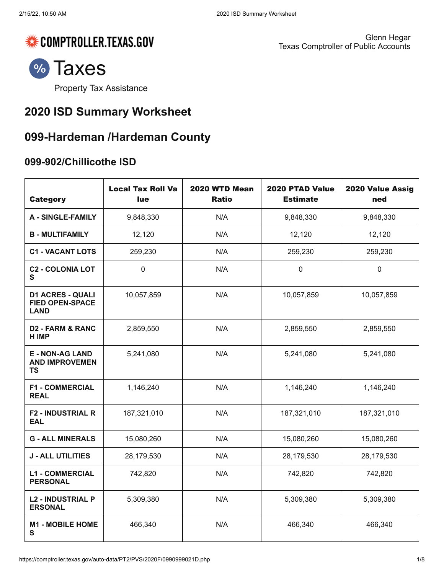

Glenn Hegar Texas Comptroller of Public Accounts



Property Tax [Assistance](https://comptroller.texas.gov/taxes/property-tax/)

# **2020 ISD Summary Worksheet**

# **099-Hardeman /Hardeman County**

## **099-902/Chillicothe ISD**

| <b>Category</b>                                                  | <b>Local Tax Roll Va</b><br>lue | 2020 WTD Mean<br><b>Ratio</b> | 2020 PTAD Value<br><b>Estimate</b> | 2020 Value Assig<br>ned |
|------------------------------------------------------------------|---------------------------------|-------------------------------|------------------------------------|-------------------------|
| <b>A - SINGLE-FAMILY</b>                                         | 9,848,330                       | N/A                           | 9,848,330                          | 9,848,330               |
| <b>B - MULTIFAMILY</b>                                           | 12,120                          | N/A                           | 12,120                             | 12,120                  |
| <b>C1 - VACANT LOTS</b>                                          | 259,230                         | N/A                           | 259,230                            | 259,230                 |
| <b>C2 - COLONIA LOT</b><br>S                                     | $\mathbf 0$                     | N/A                           | $\mathbf 0$                        | $\mathbf 0$             |
| <b>D1 ACRES - QUALI</b><br><b>FIED OPEN-SPACE</b><br><b>LAND</b> | 10,057,859                      | N/A                           | 10,057,859                         | 10,057,859              |
| <b>D2 - FARM &amp; RANC</b><br><b>HIMP</b>                       | 2,859,550                       | N/A                           | 2,859,550                          | 2,859,550               |
| <b>E - NON-AG LAND</b><br><b>AND IMPROVEMEN</b><br><b>TS</b>     | 5,241,080                       | N/A                           | 5,241,080                          | 5,241,080               |
| <b>F1 - COMMERCIAL</b><br><b>REAL</b>                            | 1,146,240                       | N/A                           | 1,146,240                          | 1,146,240               |
| <b>F2 - INDUSTRIAL R</b><br><b>EAL</b>                           | 187,321,010                     | N/A                           | 187,321,010                        | 187,321,010             |
| <b>G - ALL MINERALS</b>                                          | 15,080,260                      | N/A                           | 15,080,260                         | 15,080,260              |
| <b>J - ALL UTILITIES</b>                                         | 28,179,530                      | N/A                           | 28,179,530                         | 28,179,530              |
| <b>L1 - COMMERCIAL</b><br><b>PERSONAL</b>                        | 742,820                         | N/A                           | 742,820                            | 742,820                 |
| <b>L2 - INDUSTRIAL P</b><br><b>ERSONAL</b>                       | 5,309,380                       | N/A                           | 5,309,380                          | 5,309,380               |
| <b>M1 - MOBILE HOME</b><br>S                                     | 466,340                         | N/A                           | 466,340                            | 466,340                 |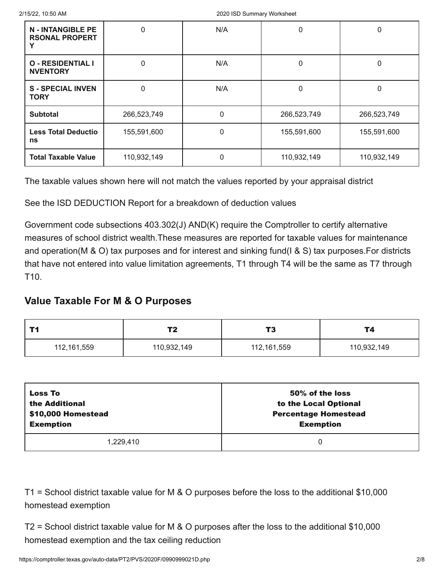| <b>N - INTANGIBLE PE</b><br><b>RSONAL PROPERT</b> | 0           | N/A | 0           | 0           |
|---------------------------------------------------|-------------|-----|-------------|-------------|
| <b>O - RESIDENTIAL I</b><br><b>NVENTORY</b>       | 0           | N/A | 0           | 0           |
| <b>S-SPECIAL INVEN</b><br><b>TORY</b>             | 0           | N/A | 0           | 0           |
| <b>Subtotal</b>                                   | 266,523,749 | 0   | 266,523,749 | 266,523,749 |
| <b>Less Total Deductio</b><br>ns                  | 155,591,600 | O   | 155,591,600 | 155,591,600 |
| <b>Total Taxable Value</b>                        | 110,932,149 | 0   | 110,932,149 | 110,932,149 |

See the ISD DEDUCTION Report for a breakdown of deduction values

Government code subsections 403.302(J) AND(K) require the Comptroller to certify alternative measures of school district wealth.These measures are reported for taxable values for maintenance and operation(M & O) tax purposes and for interest and sinking fund(I & S) tax purposes.For districts that have not entered into value limitation agreements, T1 through T4 will be the same as T7 through T10.

## **Value Taxable For M & O Purposes**

|             | T2          | тî<br>-     | Т4          |
|-------------|-------------|-------------|-------------|
| 112,161,559 | 110,932,149 | 112,161,559 | 110,932,149 |

| <b>Loss To</b>     | 50% of the loss             |
|--------------------|-----------------------------|
| the Additional     | to the Local Optional       |
| \$10,000 Homestead | <b>Percentage Homestead</b> |
| <b>Exemption</b>   | <b>Exemption</b>            |
| 1.229.410          | 0                           |

T1 = School district taxable value for M & O purposes before the loss to the additional \$10,000 homestead exemption

T2 = School district taxable value for M & O purposes after the loss to the additional \$10,000 homestead exemption and the tax ceiling reduction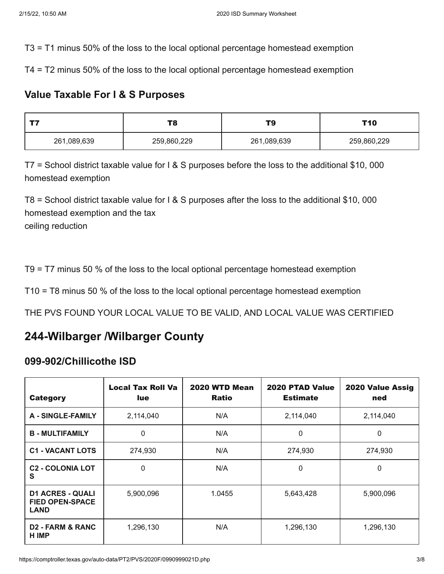T3 = T1 minus 50% of the loss to the local optional percentage homestead exemption

T4 = T2 minus 50% of the loss to the local optional percentage homestead exemption

## **Value Taxable For I & S Purposes**

|                            | TO.<br>. o | ΤS          | T10         |
|----------------------------|------------|-------------|-------------|
| 261,089,639<br>259,860,229 |            | 261,089,639 | 259,860,229 |

T7 = School district taxable value for I & S purposes before the loss to the additional \$10, 000 homestead exemption

T8 = School district taxable value for I & S purposes after the loss to the additional \$10, 000 homestead exemption and the tax ceiling reduction

T9 = T7 minus 50 % of the loss to the local optional percentage homestead exemption

T10 = T8 minus 50 % of the loss to the local optional percentage homestead exemption

THE PVS FOUND YOUR LOCAL VALUE TO BE VALID, AND LOCAL VALUE WAS CERTIFIED

## **244-Wilbarger /Wilbarger County**

## **099-902/Chillicothe ISD**

| <b>Category</b>                                                  | <b>Local Tax Roll Va</b><br><b>lue</b> | 2020 WTD Mean<br><b>Ratio</b> | 2020 PTAD Value<br><b>Estimate</b> | 2020 Value Assig<br>ned |
|------------------------------------------------------------------|----------------------------------------|-------------------------------|------------------------------------|-------------------------|
| A - SINGLE-FAMILY                                                | 2,114,040                              | N/A                           | 2,114,040                          | 2,114,040               |
| <b>B-MULTIFAMILY</b>                                             | 0                                      | N/A                           | 0                                  | 0                       |
| <b>C1 - VACANT LOTS</b>                                          | 274,930                                | N/A                           | 274,930                            | 274,930                 |
| <b>C2 - COLONIA LOT</b><br>S                                     | 0                                      | N/A                           | 0                                  | $\Omega$                |
| <b>D1 ACRES - QUALI</b><br><b>FIED OPEN-SPACE</b><br><b>LAND</b> | 5,900,096                              | 1.0455                        | 5,643,428                          | 5,900,096               |
| <b>D2 - FARM &amp; RANC</b><br>H IMP                             | 1,296,130                              | N/A                           | 1,296,130                          | 1,296,130               |

https://comptroller.texas.gov/auto-data/PT2/PVS/2020F/099099021D.php 3/8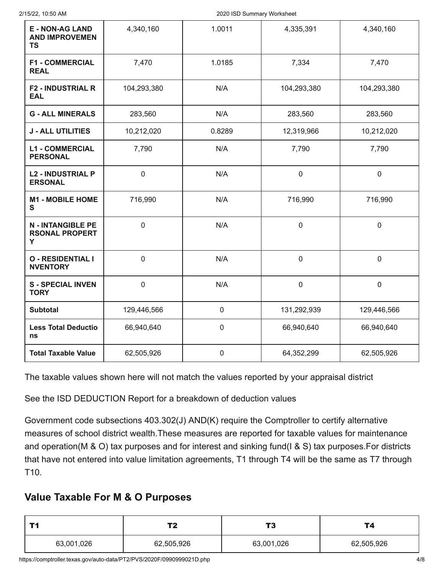| <b>E - NON-AG LAND</b><br><b>AND IMPROVEMEN</b><br><b>TS</b> | 4,340,160        | 1.0011           | 4,335,391   | 4,340,160        |
|--------------------------------------------------------------|------------------|------------------|-------------|------------------|
| <b>F1 - COMMERCIAL</b><br><b>REAL</b>                        | 7,470            | 1.0185           | 7,334       | 7,470            |
| <b>F2 - INDUSTRIAL R</b><br><b>EAL</b>                       | 104,293,380      | N/A              | 104,293,380 | 104,293,380      |
| <b>G - ALL MINERALS</b>                                      | 283,560          | N/A              | 283,560     | 283,560          |
| <b>J - ALL UTILITIES</b>                                     | 10,212,020       | 0.8289           | 12,319,966  | 10,212,020       |
| <b>L1 - COMMERCIAL</b><br><b>PERSONAL</b>                    | 7,790            | N/A              | 7,790       | 7,790            |
| <b>L2 - INDUSTRIAL P</b><br><b>ERSONAL</b>                   | $\mathbf 0$      | N/A              | $\mathbf 0$ | $\mathbf 0$      |
| <b>M1 - MOBILE HOME</b><br>S                                 | 716,990          | N/A              | 716,990     | 716,990          |
| <b>N - INTANGIBLE PE</b><br><b>RSONAL PROPERT</b><br>Y       | $\mathbf 0$      | N/A              | $\mathbf 0$ | $\mathbf 0$      |
| <b>O - RESIDENTIAL I</b><br><b>NVENTORY</b>                  | $\boldsymbol{0}$ | N/A              | $\mathbf 0$ | 0                |
| <b>S-SPECIAL INVEN</b><br><b>TORY</b>                        | $\mathbf 0$      | N/A              | $\pmb{0}$   | $\boldsymbol{0}$ |
| <b>Subtotal</b>                                              | 129,446,566      | $\boldsymbol{0}$ | 131,292,939 | 129,446,566      |
| <b>Less Total Deductio</b><br>ns                             | 66,940,640       | $\pmb{0}$        | 66,940,640  | 66,940,640       |
| <b>Total Taxable Value</b>                                   | 62,505,926       | $\pmb{0}$        | 64,352,299  | 62,505,926       |

See the ISD DEDUCTION Report for a breakdown of deduction values

Government code subsections 403.302(J) AND(K) require the Comptroller to certify alternative measures of school district wealth.These measures are reported for taxable values for maintenance and operation(M & O) tax purposes and for interest and sinking fund(I & S) tax purposes.For districts that have not entered into value limitation agreements, T1 through T4 will be the same as T7 through T10.

## **Value Taxable For M & O Purposes**

|            | Тŋ         | 17         | Γ4         |
|------------|------------|------------|------------|
| 63,001,026 | 62,505,926 | 63,001,026 | 62,505,926 |

https://comptroller.texas.gov/auto-data/PT2/PVS/2020F/0990999021D.php 4/8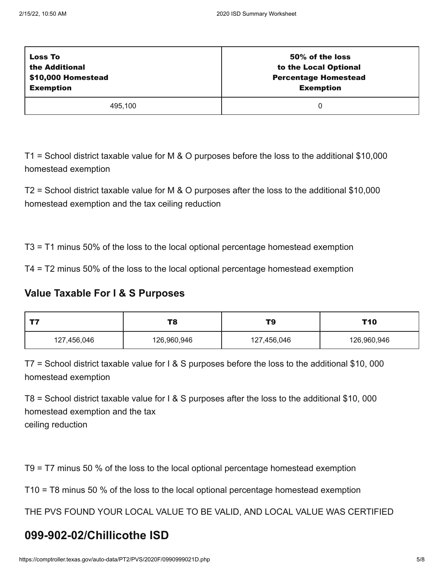| <b>Loss To</b>     | 50% of the loss             |
|--------------------|-----------------------------|
| the Additional     | to the Local Optional       |
| \$10,000 Homestead | <b>Percentage Homestead</b> |
| <b>Exemption</b>   | <b>Exemption</b>            |
| 495,100            |                             |

T1 = School district taxable value for M & O purposes before the loss to the additional \$10,000 homestead exemption

T2 = School district taxable value for M & O purposes after the loss to the additional \$10,000 homestead exemption and the tax ceiling reduction

T3 = T1 minus 50% of the loss to the local optional percentage homestead exemption

T4 = T2 minus 50% of the loss to the local optional percentage homestead exemption

## **Value Taxable For I & S Purposes**

| ーー                         | T8 | T9          | T10         |
|----------------------------|----|-------------|-------------|
| 126,960,946<br>127,456,046 |    | 127,456,046 | 126,960,946 |

T7 = School district taxable value for I & S purposes before the loss to the additional \$10, 000 homestead exemption

T8 = School district taxable value for I & S purposes after the loss to the additional \$10, 000 homestead exemption and the tax ceiling reduction

T9 = T7 minus 50 % of the loss to the local optional percentage homestead exemption

T10 = T8 minus 50 % of the loss to the local optional percentage homestead exemption

THE PVS FOUND YOUR LOCAL VALUE TO BE VALID, AND LOCAL VALUE WAS CERTIFIED

# **099-902-02/Chillicothe ISD**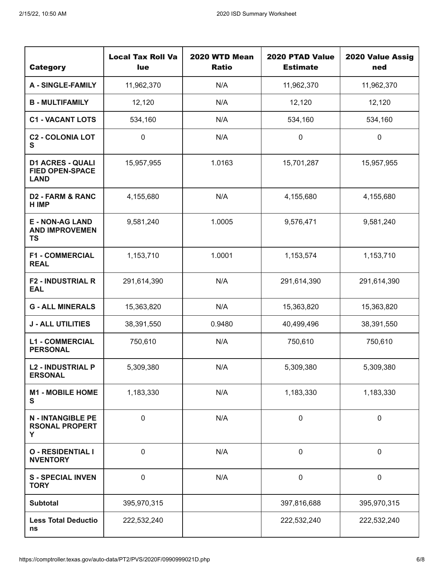| <b>Category</b>                                                  | <b>Local Tax Roll Va</b><br>lue | 2020 WTD Mean<br><b>Ratio</b> | 2020 PTAD Value<br><b>Estimate</b> | 2020 Value Assig<br>ned |
|------------------------------------------------------------------|---------------------------------|-------------------------------|------------------------------------|-------------------------|
| <b>A - SINGLE-FAMILY</b>                                         | 11,962,370                      | N/A                           | 11,962,370                         | 11,962,370              |
| <b>B - MULTIFAMILY</b>                                           | 12,120                          | N/A                           | 12,120                             | 12,120                  |
| <b>C1 - VACANT LOTS</b>                                          | 534,160                         | N/A                           | 534,160                            | 534,160                 |
| <b>C2 - COLONIA LOT</b><br>S                                     | $\boldsymbol{0}$                | N/A                           | $\pmb{0}$                          | $\pmb{0}$               |
| <b>D1 ACRES - QUALI</b><br><b>FIED OPEN-SPACE</b><br><b>LAND</b> | 15,957,955                      | 1.0163                        | 15,701,287                         | 15,957,955              |
| <b>D2 - FARM &amp; RANC</b><br>H IMP                             | 4,155,680                       | N/A                           | 4,155,680                          | 4,155,680               |
| <b>E - NON-AG LAND</b><br><b>AND IMPROVEMEN</b><br><b>TS</b>     | 9,581,240                       | 1.0005                        | 9,576,471                          | 9,581,240               |
| <b>F1 - COMMERCIAL</b><br><b>REAL</b>                            | 1,153,710                       | 1.0001                        | 1,153,574                          | 1,153,710               |
| <b>F2 - INDUSTRIAL R</b><br><b>EAL</b>                           | 291,614,390                     | N/A                           | 291,614,390                        | 291,614,390             |
| <b>G - ALL MINERALS</b>                                          | 15,363,820                      | N/A                           | 15,363,820                         | 15,363,820              |
| <b>J - ALL UTILITIES</b>                                         | 38,391,550                      | 0.9480                        | 40,499,496                         | 38,391,550              |
| <b>L1 - COMMERCIAL</b><br><b>PERSONAL</b>                        | 750,610                         | N/A                           | 750,610                            | 750,610                 |
| <b>L2 - INDUSTRIAL P</b><br><b>ERSONAL</b>                       | 5,309,380                       | N/A                           | 5,309,380                          | 5,309,380               |
| <b>M1 - MOBILE HOME</b><br>$\mathbf{s}$                          | 1,183,330                       | N/A                           | 1,183,330                          | 1,183,330               |
| <b>N - INTANGIBLE PE</b><br><b>RSONAL PROPERT</b><br>Y           | $\mathbf 0$                     | N/A                           | $\pmb{0}$                          | $\mathbf 0$             |
| <b>O - RESIDENTIAL I</b><br><b>NVENTORY</b>                      | $\boldsymbol{0}$                | N/A                           | $\pmb{0}$                          | $\pmb{0}$               |
| <b>S-SPECIAL INVEN</b><br><b>TORY</b>                            | $\mathbf 0$                     | N/A                           | $\pmb{0}$                          | $\mathbf 0$             |
| <b>Subtotal</b>                                                  | 395,970,315                     |                               | 397,816,688                        | 395,970,315             |
| <b>Less Total Deductio</b><br>ns                                 | 222,532,240                     |                               | 222,532,240                        | 222,532,240             |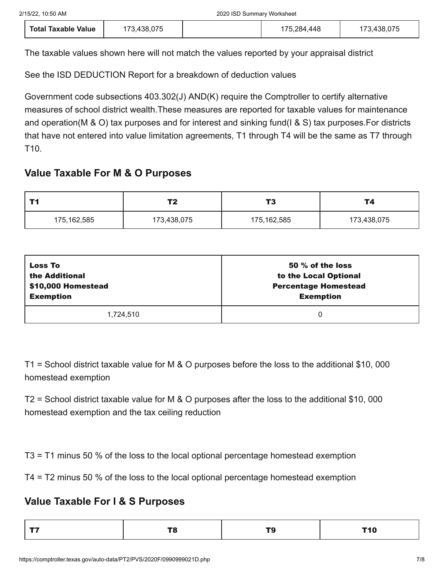| <b>Total Taxable Value</b> | 173,438,075 | 175,284,448 | 173,438,075 |
|----------------------------|-------------|-------------|-------------|
|----------------------------|-------------|-------------|-------------|

See the ISD DEDUCTION Report for a breakdown of deduction values

Government code subsections 403.302(J) AND(K) require the Comptroller to certify alternative measures of school district wealth.These measures are reported for taxable values for maintenance and operation(M & O) tax purposes and for interest and sinking fund(I & S) tax purposes.For districts that have not entered into value limitation agreements, T1 through T4 will be the same as T7 through T10.

## **Value Taxable For M & O Purposes**

| T4<br>Τ2    |             | T <sub>3</sub> | <b>T4</b>   |
|-------------|-------------|----------------|-------------|
| 175,162,585 | 173,438,075 | 175,162,585    | 173,438,075 |

| <b>Loss To</b>     | 50 $\%$ of the loss         |
|--------------------|-----------------------------|
| the Additional     | to the Local Optional       |
| \$10,000 Homestead | <b>Percentage Homestead</b> |
| <b>Exemption</b>   | <b>Exemption</b>            |
| 1,724,510          | 0                           |

T1 = School district taxable value for M & O purposes before the loss to the additional \$10, 000 homestead exemption

T2 = School district taxable value for M & O purposes after the loss to the additional \$10, 000 homestead exemption and the tax ceiling reduction

T3 = T1 minus 50 % of the loss to the local optional percentage homestead exemption

T4 = T2 minus 50 % of the loss to the local optional percentage homestead exemption

## **Value Taxable For I & S Purposes**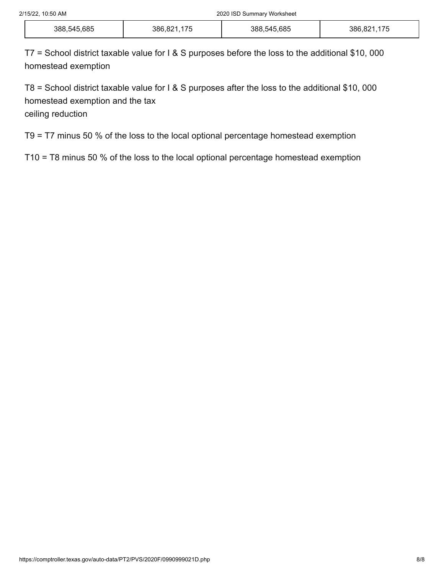| 388,545,685 | 47r<br>386,821<br>$\overline{\phantom{a}}$<br>ں ، | 388,545,685 | $\rightarrow$ $\rightarrow$<br>386.82<br>ററ<br>$\overline{\phantom{a}}$<br>ں ، |
|-------------|---------------------------------------------------|-------------|--------------------------------------------------------------------------------|
|-------------|---------------------------------------------------|-------------|--------------------------------------------------------------------------------|

T7 = School district taxable value for I & S purposes before the loss to the additional \$10, 000 homestead exemption

T8 = School district taxable value for I & S purposes after the loss to the additional \$10, 000 homestead exemption and the tax

ceiling reduction

T9 = T7 minus 50 % of the loss to the local optional percentage homestead exemption

T10 = T8 minus 50 % of the loss to the local optional percentage homestead exemption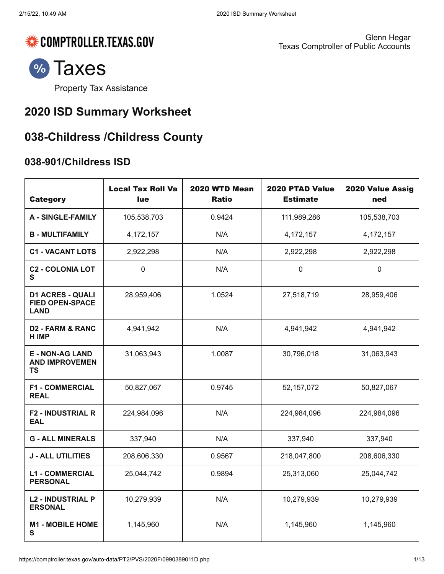

Glenn Hegar Texas Comptroller of Public Accounts



Property Tax [Assistance](https://comptroller.texas.gov/taxes/property-tax/)

# **2020 ISD Summary Worksheet**

# **038-Childress /Childress County**

## **038-901/Childress ISD**

| <b>Category</b>                                                  | <b>Local Tax Roll Va</b><br><b>lue</b> | 2020 WTD Mean<br><b>Ratio</b> | 2020 PTAD Value<br><b>Estimate</b> | 2020 Value Assig<br>ned |
|------------------------------------------------------------------|----------------------------------------|-------------------------------|------------------------------------|-------------------------|
| <b>A - SINGLE-FAMILY</b>                                         | 105,538,703                            | 0.9424                        | 111,989,286                        | 105,538,703             |
| <b>B - MULTIFAMILY</b>                                           | 4, 172, 157                            | N/A                           | 4,172,157                          | 4, 172, 157             |
| <b>C1 - VACANT LOTS</b>                                          | 2,922,298                              | N/A                           | 2,922,298                          | 2,922,298               |
| <b>C2 - COLONIA LOT</b><br>S                                     | $\mathbf 0$                            | N/A                           | $\mathbf 0$                        | $\mathbf 0$             |
| <b>D1 ACRES - QUALI</b><br><b>FIED OPEN-SPACE</b><br><b>LAND</b> | 28,959,406                             | 1.0524                        | 27,518,719                         | 28,959,406              |
| <b>D2 - FARM &amp; RANC</b><br><b>HIMP</b>                       | 4,941,942                              | N/A                           | 4,941,942                          | 4,941,942               |
| <b>E - NON-AG LAND</b><br><b>AND IMPROVEMEN</b><br><b>TS</b>     | 31,063,943                             | 1.0087                        | 30,796,018                         | 31,063,943              |
| <b>F1 - COMMERCIAL</b><br><b>REAL</b>                            | 50,827,067                             | 0.9745                        | 52, 157, 072                       | 50,827,067              |
| <b>F2 - INDUSTRIAL R</b><br><b>EAL</b>                           | 224,984,096                            | N/A                           | 224,984,096                        | 224,984,096             |
| <b>G - ALL MINERALS</b>                                          | 337,940                                | N/A                           | 337,940                            | 337,940                 |
| <b>J - ALL UTILITIES</b>                                         | 208,606,330                            | 0.9567                        | 218,047,800                        | 208,606,330             |
| <b>L1 - COMMERCIAL</b><br><b>PERSONAL</b>                        | 25,044,742                             | 0.9894                        | 25,313,060                         | 25,044,742              |
| <b>L2 - INDUSTRIAL P</b><br><b>ERSONAL</b>                       | 10,279,939                             | N/A                           | 10,279,939                         | 10,279,939              |
| <b>M1 - MOBILE HOME</b><br>S                                     | 1,145,960                              | N/A                           | 1,145,960                          | 1,145,960               |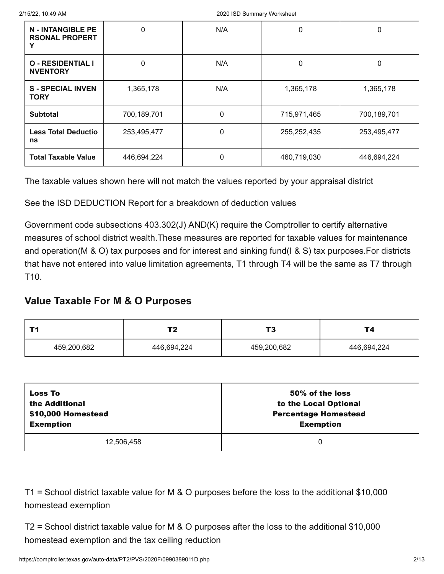| <b>N - INTANGIBLE PE</b><br><b>RSONAL PROPERT</b> | 0           | N/A          | 0           | 0           |
|---------------------------------------------------|-------------|--------------|-------------|-------------|
| <b>O - RESIDENTIAL I</b><br><b>NVENTORY</b>       | 0           | N/A          | 0           | 0           |
| <b>S-SPECIAL INVEN</b><br><b>TORY</b>             | 1,365,178   | N/A          | 1,365,178   | 1,365,178   |
| <b>Subtotal</b>                                   | 700,189,701 | $\mathbf{0}$ | 715,971,465 | 700,189,701 |
| <b>Less Total Deductio</b><br>ns                  | 253,495,477 | $\Omega$     | 255,252,435 | 253,495,477 |
| <b>Total Taxable Value</b>                        | 446,694,224 | 0            | 460,719,030 | 446,694,224 |

See the ISD DEDUCTION Report for a breakdown of deduction values

Government code subsections 403.302(J) AND(K) require the Comptroller to certify alternative measures of school district wealth.These measures are reported for taxable values for maintenance and operation(M & O) tax purposes and for interest and sinking fund(I & S) tax purposes.For districts that have not entered into value limitation agreements, T1 through T4 will be the same as T7 through T10.

## **Value Taxable For M & O Purposes**

| тŋ          |             | т.<br>v.    | Т4          |
|-------------|-------------|-------------|-------------|
| 459,200,682 | 446,694,224 | 459,200,682 | 446,694,224 |

| <b>Loss To</b>     | 50% of the loss             |
|--------------------|-----------------------------|
| the Additional     | to the Local Optional       |
| \$10,000 Homestead | <b>Percentage Homestead</b> |
| <b>Exemption</b>   | <b>Exemption</b>            |
| 12,506,458         | 0                           |

T1 = School district taxable value for M & O purposes before the loss to the additional \$10,000 homestead exemption

T2 = School district taxable value for M & O purposes after the loss to the additional \$10,000 homestead exemption and the tax ceiling reduction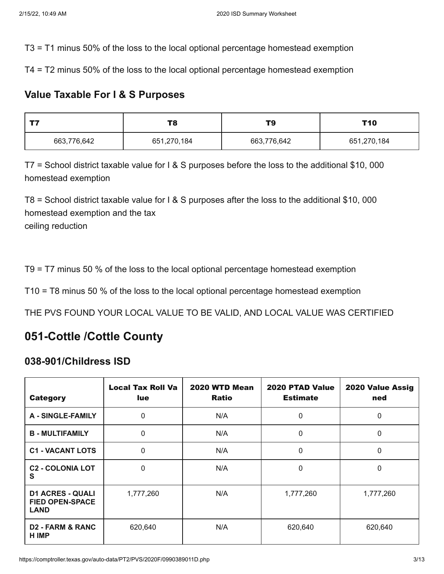T3 = T1 minus 50% of the loss to the local optional percentage homestead exemption

T4 = T2 minus 50% of the loss to the local optional percentage homestead exemption

## **Value Taxable For I & S Purposes**

| T8          |             | TS          | T10         |
|-------------|-------------|-------------|-------------|
| 663,776,642 | 651,270,184 | 663,776,642 | 651,270,184 |

T7 = School district taxable value for I & S purposes before the loss to the additional \$10, 000 homestead exemption

T8 = School district taxable value for I & S purposes after the loss to the additional \$10, 000 homestead exemption and the tax ceiling reduction

T9 = T7 minus 50 % of the loss to the local optional percentage homestead exemption

T10 = T8 minus 50 % of the loss to the local optional percentage homestead exemption

THE PVS FOUND YOUR LOCAL VALUE TO BE VALID, AND LOCAL VALUE WAS CERTIFIED

# **051-Cottle /Cottle County**

## **038-901/Childress ISD**

| <b>Category</b>                                                  | <b>Local Tax Roll Va</b><br>lue. | 2020 WTD Mean<br><b>Ratio</b> | 2020 PTAD Value<br><b>Estimate</b> | 2020 Value Assig<br>ned |
|------------------------------------------------------------------|----------------------------------|-------------------------------|------------------------------------|-------------------------|
| <b>A - SINGLE-FAMILY</b>                                         | 0                                | N/A                           | 0                                  | $\Omega$                |
| <b>B-MULTIFAMILY</b>                                             | 0                                | N/A                           | 0                                  | $\mathbf 0$             |
| <b>C1 - VACANT LOTS</b>                                          | 0                                | N/A                           | 0                                  | 0                       |
| <b>C2 - COLONIA LOT</b><br>S                                     | 0                                | N/A                           | 0                                  | $\mathbf{0}$            |
| <b>D1 ACRES - QUALI</b><br><b>FIED OPEN-SPACE</b><br><b>LAND</b> | 1,777,260                        | N/A                           | 1,777,260                          | 1,777,260               |
| <b>D2 - FARM &amp; RANC</b><br>H IMP                             | 620,640                          | N/A                           | 620,640                            | 620,640                 |

https://comptroller.texas.gov/auto-data/PT2/PVS/2020F/0990389011D.php 3/13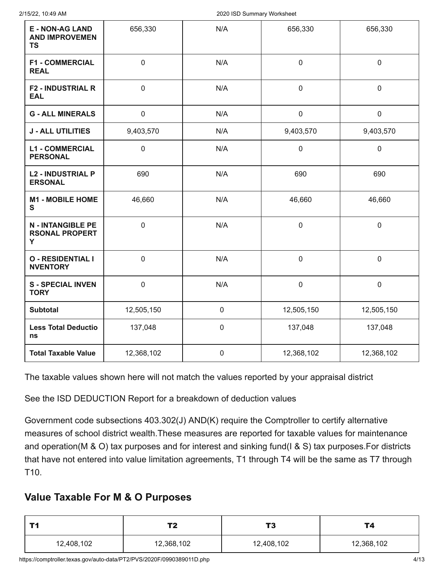| <b>E - NON-AG LAND</b><br><b>AND IMPROVEMEN</b><br><b>TS</b> | 656,330        | N/A         | 656,330     | 656,330             |
|--------------------------------------------------------------|----------------|-------------|-------------|---------------------|
| <b>F1 - COMMERCIAL</b><br><b>REAL</b>                        | $\mathbf 0$    | N/A         | $\mathbf 0$ | $\mathbf 0$         |
| <b>F2 - INDUSTRIAL R</b><br><b>EAL</b>                       | $\overline{0}$ | N/A         | $\mathbf 0$ | $\mathbf 0$         |
| <b>G - ALL MINERALS</b>                                      | $\mathbf 0$    | N/A         | $\pmb{0}$   | $\mathsf{O}\xspace$ |
| <b>J - ALL UTILITIES</b>                                     | 9,403,570      | N/A         | 9,403,570   | 9,403,570           |
| <b>L1 - COMMERCIAL</b><br><b>PERSONAL</b>                    | $\mathbf 0$    | N/A         | $\pmb{0}$   | $\mathbf 0$         |
| <b>L2 - INDUSTRIAL P</b><br><b>ERSONAL</b>                   | 690            | N/A         | 690         | 690                 |
| <b>M1 - MOBILE HOME</b><br>S                                 | 46,660         | N/A         | 46,660      | 46,660              |
| <b>N - INTANGIBLE PE</b><br><b>RSONAL PROPERT</b><br>Y       | $\mathbf 0$    | N/A         | $\mathbf 0$ | $\mathbf 0$         |
| <b>O - RESIDENTIAL I</b><br><b>NVENTORY</b>                  | $\mathbf 0$    | N/A         | $\mathbf 0$ | $\pmb{0}$           |
| <b>S-SPECIAL INVEN</b><br><b>TORY</b>                        | $\mathbf 0$    | N/A         | $\pmb{0}$   | $\pmb{0}$           |
| <b>Subtotal</b>                                              | 12,505,150     | $\mathbf 0$ | 12,505,150  | 12,505,150          |
| <b>Less Total Deductio</b><br>ns                             | 137,048        | $\mathbf 0$ | 137,048     | 137,048             |
| <b>Total Taxable Value</b>                                   | 12,368,102     | $\mathbf 0$ | 12,368,102  | 12,368,102          |

See the ISD DEDUCTION Report for a breakdown of deduction values

Government code subsections 403.302(J) AND(K) require the Comptroller to certify alternative measures of school district wealth.These measures are reported for taxable values for maintenance and operation(M & O) tax purposes and for interest and sinking fund(I & S) tax purposes.For districts that have not entered into value limitation agreements, T1 through T4 will be the same as T7 through T10.

## **Value Taxable For M & O Purposes**

|            | тŋ<br>◢    | 1 O        | Г4         |
|------------|------------|------------|------------|
| 12,408,102 | 12,368,102 | 12,408,102 | 12,368,102 |

https://comptroller.texas.gov/auto-data/PT2/PVS/2020F/0990389011D.php 4/13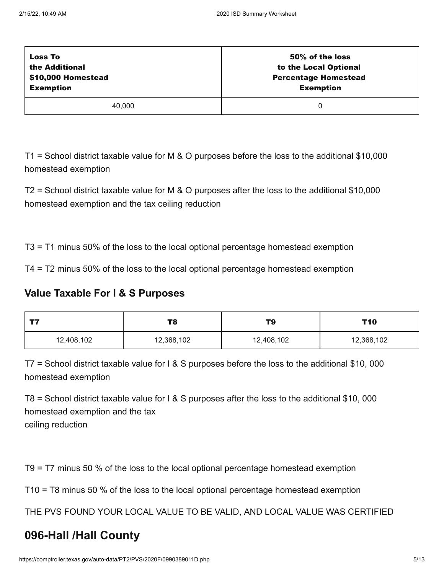| <b>Loss To</b>     | 50% of the loss             |
|--------------------|-----------------------------|
| the Additional     | to the Local Optional       |
| \$10,000 Homestead | <b>Percentage Homestead</b> |
| <b>Exemption</b>   | <b>Exemption</b>            |
| 40,000             |                             |

T1 = School district taxable value for M & O purposes before the loss to the additional \$10,000 homestead exemption

T2 = School district taxable value for M & O purposes after the loss to the additional \$10,000 homestead exemption and the tax ceiling reduction

T3 = T1 minus 50% of the loss to the local optional percentage homestead exemption

T4 = T2 minus 50% of the loss to the local optional percentage homestead exemption

## **Value Taxable For I & S Purposes**

| ナフ         | T8         | T9         | T10        |
|------------|------------|------------|------------|
| 12,408,102 | 12,368,102 | 12,408,102 | 12,368,102 |

T7 = School district taxable value for I & S purposes before the loss to the additional \$10, 000 homestead exemption

T8 = School district taxable value for I & S purposes after the loss to the additional \$10, 000 homestead exemption and the tax ceiling reduction

T9 = T7 minus 50 % of the loss to the local optional percentage homestead exemption

T10 = T8 minus 50 % of the loss to the local optional percentage homestead exemption

THE PVS FOUND YOUR LOCAL VALUE TO BE VALID, AND LOCAL VALUE WAS CERTIFIED

# **096-Hall /Hall County**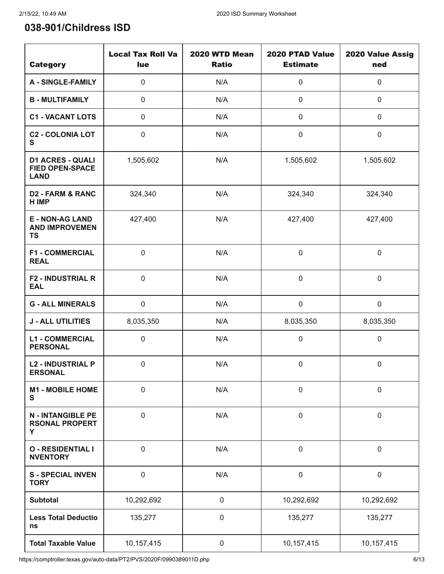# **038-901/Childress ISD**

| <b>Category</b>                                                  | <b>Local Tax Roll Va</b><br>lue | 2020 WTD Mean<br><b>Ratio</b> | 2020 PTAD Value<br><b>Estimate</b> | 2020 Value Assig<br>ned |
|------------------------------------------------------------------|---------------------------------|-------------------------------|------------------------------------|-------------------------|
| <b>A - SINGLE-FAMILY</b>                                         | $\pmb{0}$                       | N/A                           | $\pmb{0}$                          | $\mathbf 0$             |
| <b>B-MULTIFAMILY</b>                                             | $\mathbf 0$                     | N/A                           | $\pmb{0}$                          | $\mathbf 0$             |
| <b>C1 - VACANT LOTS</b>                                          | $\pmb{0}$                       | N/A                           | $\pmb{0}$                          | $\mathbf 0$             |
| <b>C2 - COLONIA LOT</b><br>S                                     | $\mathbf 0$                     | N/A                           | 0                                  | $\boldsymbol{0}$        |
| <b>D1 ACRES - QUALI</b><br><b>FIED OPEN-SPACE</b><br><b>LAND</b> | 1,505,602                       | N/A                           | 1,505,602                          | 1,505,602               |
| <b>D2 - FARM &amp; RANC</b><br>H IMP                             | 324,340                         | N/A                           | 324,340                            | 324,340                 |
| <b>E - NON-AG LAND</b><br><b>AND IMPROVEMEN</b><br><b>TS</b>     | 427,400                         | N/A                           | 427,400                            | 427,400                 |
| <b>F1 - COMMERCIAL</b><br><b>REAL</b>                            | $\pmb{0}$                       | N/A                           | 0                                  | $\boldsymbol{0}$        |
| <b>F2 - INDUSTRIAL R</b><br><b>EAL</b>                           | $\pmb{0}$                       | N/A                           | 0                                  | $\boldsymbol{0}$        |
| <b>G - ALL MINERALS</b>                                          | $\pmb{0}$                       | N/A                           | $\pmb{0}$                          | $\pmb{0}$               |
| <b>J - ALL UTILITIES</b>                                         | 8,035,350                       | N/A                           | 8,035,350                          | 8,035,350               |
| <b>L1 - COMMERCIAL</b><br><b>PERSONAL</b>                        | $\pmb{0}$                       | N/A                           | 0                                  | $\boldsymbol{0}$        |
| <b>L2 - INDUSTRIAL P</b><br><b>ERSONAL</b>                       | $\pmb{0}$                       | N/A                           | 0                                  | $\boldsymbol{0}$        |
| <b>M1 - MOBILE HOME</b><br>S                                     | $\pmb{0}$                       | N/A                           | $\pmb{0}$                          | $\boldsymbol{0}$        |
| <b>N - INTANGIBLE PE</b><br><b>RSONAL PROPERT</b><br>Υ           | $\pmb{0}$                       | N/A                           | $\pmb{0}$                          | $\boldsymbol{0}$        |
| <b>O - RESIDENTIAL I</b><br><b>NVENTORY</b>                      | $\pmb{0}$                       | N/A                           | $\mathbf 0$                        | $\pmb{0}$               |
| <b>S-SPECIAL INVEN</b><br><b>TORY</b>                            | $\pmb{0}$                       | N/A                           | $\pmb{0}$                          | $\boldsymbol{0}$        |
| <b>Subtotal</b>                                                  | 10,292,692                      | $\pmb{0}$                     | 10,292,692                         | 10,292,692              |
| <b>Less Total Deductio</b><br>ns                                 | 135,277                         | $\pmb{0}$                     | 135,277                            | 135,277                 |
| <b>Total Taxable Value</b>                                       | 10,157,415                      | $\pmb{0}$                     | 10,157,415                         | 10,157,415              |

https://comptroller.texas.gov/auto-data/PT2/PVS/2020F/0990389011D.php 6/13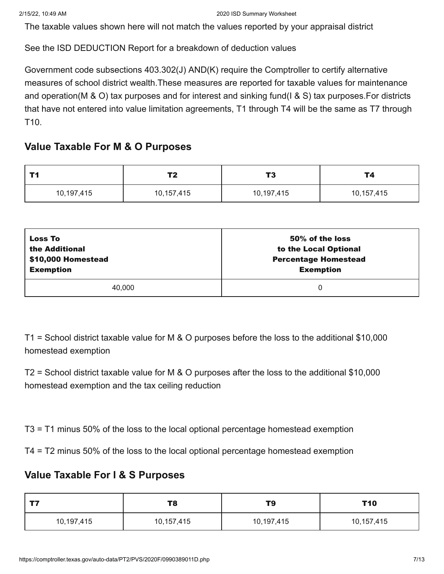See the ISD DEDUCTION Report for a breakdown of deduction values

Government code subsections 403.302(J) AND(K) require the Comptroller to certify alternative measures of school district wealth.These measures are reported for taxable values for maintenance and operation(M & O) tax purposes and for interest and sinking fund(I & S) tax purposes.For districts that have not entered into value limitation agreements, T1 through T4 will be the same as T7 through T10.

## **Value Taxable For M & O Purposes**

| TИ         | тn.        | T <sub>3</sub> | <b>T4</b>  |
|------------|------------|----------------|------------|
| 10,197,415 | 10,157,415 | 10,197,415     | 10,157,415 |

| <b>Loss To</b>     | 50% of the loss             |
|--------------------|-----------------------------|
| the Additional     | to the Local Optional       |
| \$10,000 Homestead | <b>Percentage Homestead</b> |
| <b>Exemption</b>   | <b>Exemption</b>            |
| 40,000             | 0                           |

T1 = School district taxable value for M & O purposes before the loss to the additional \$10,000 homestead exemption

T2 = School district taxable value for M & O purposes after the loss to the additional \$10,000 homestead exemption and the tax ceiling reduction

T3 = T1 minus 50% of the loss to the local optional percentage homestead exemption

T4 = T2 minus 50% of the loss to the local optional percentage homestead exemption

## **Value Taxable For I & S Purposes**

| ナフ         | T8         | T9         | T10        |
|------------|------------|------------|------------|
| 10,197,415 | 10,157,415 | 10,197,415 | 10,157,415 |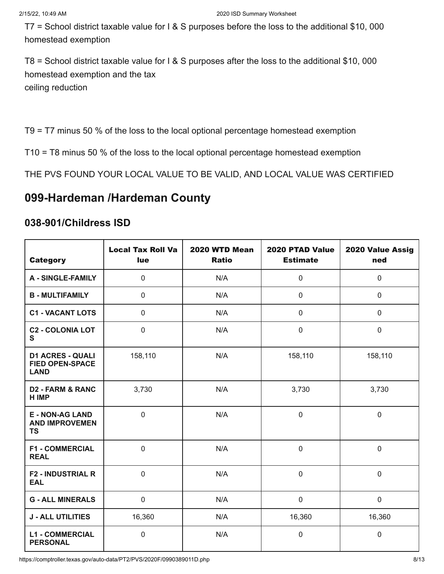T7 = School district taxable value for I & S purposes before the loss to the additional \$10, 000 homestead exemption

T8 = School district taxable value for I & S purposes after the loss to the additional \$10, 000 homestead exemption and the tax ceiling reduction

T9 = T7 minus 50 % of the loss to the local optional percentage homestead exemption

T10 = T8 minus 50 % of the loss to the local optional percentage homestead exemption

THE PVS FOUND YOUR LOCAL VALUE TO BE VALID, AND LOCAL VALUE WAS CERTIFIED

# **099-Hardeman /Hardeman County**

## **038-901/Childress ISD**

| <b>Category</b>                                                  | <b>Local Tax Roll Va</b><br>lue | 2020 WTD Mean<br><b>Ratio</b> | 2020 PTAD Value<br><b>Estimate</b> | 2020 Value Assig<br>ned |
|------------------------------------------------------------------|---------------------------------|-------------------------------|------------------------------------|-------------------------|
| <b>A - SINGLE-FAMILY</b>                                         | 0                               | N/A                           | 0                                  | $\mathbf 0$             |
| <b>B - MULTIFAMILY</b>                                           | $\mathbf 0$                     | N/A                           | 0                                  | 0                       |
| <b>C1 - VACANT LOTS</b>                                          | 0                               | N/A                           | 0                                  | $\pmb{0}$               |
| <b>C2 - COLONIA LOT</b><br>S                                     | 0                               | N/A                           | 0                                  | $\mathbf 0$             |
| <b>D1 ACRES - QUALI</b><br><b>FIED OPEN-SPACE</b><br><b>LAND</b> | 158,110                         | N/A                           | 158,110                            | 158,110                 |
| <b>D2 - FARM &amp; RANC</b><br><b>H IMP</b>                      | 3,730                           | N/A                           | 3,730                              | 3,730                   |
| <b>E - NON-AG LAND</b><br><b>AND IMPROVEMEN</b><br><b>TS</b>     | $\mathbf 0$                     | N/A                           | $\mathbf 0$                        | $\mathbf 0$             |
| <b>F1 - COMMERCIAL</b><br><b>REAL</b>                            | 0                               | N/A                           | 0                                  | $\boldsymbol{0}$        |
| <b>F2 - INDUSTRIAL R</b><br><b>EAL</b>                           | $\mathbf 0$                     | N/A                           | 0                                  | $\boldsymbol{0}$        |
| <b>G - ALL MINERALS</b>                                          | $\mathbf 0$                     | N/A                           | 0                                  | $\mathbf 0$             |
| <b>J - ALL UTILITIES</b>                                         | 16,360                          | N/A                           | 16,360                             | 16,360                  |
| <b>L1 - COMMERCIAL</b><br><b>PERSONAL</b>                        | $\mathbf 0$                     | N/A                           | 0                                  | $\mathbf 0$             |

https://comptroller.texas.gov/auto-data/PT2/PVS/2020F/0990389011D.php 8/13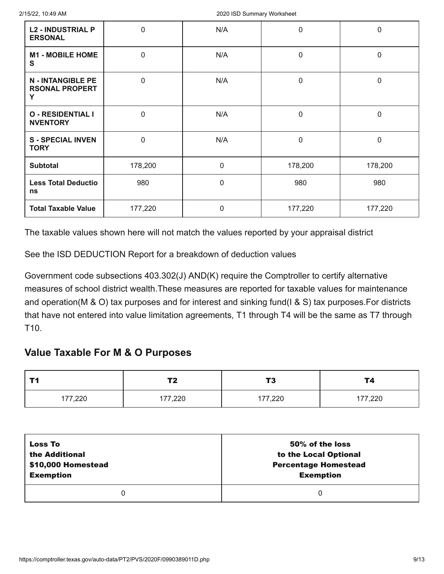| <b>L2 - INDUSTRIAL P</b><br><b>ERSONAL</b>             | $\mathbf 0$ | N/A          | 0           | 0           |
|--------------------------------------------------------|-------------|--------------|-------------|-------------|
| <b>M1 - MOBILE HOME</b><br>$\mathbf s$                 | $\mathbf 0$ | N/A          | $\mathbf 0$ | $\mathbf 0$ |
| <b>N - INTANGIBLE PE</b><br><b>RSONAL PROPERT</b><br>Y | $\mathbf 0$ | N/A          | $\mathbf 0$ | $\mathbf 0$ |
| <b>O - RESIDENTIAL I</b><br><b>NVENTORY</b>            | $\mathbf 0$ | N/A          | $\mathbf 0$ | $\mathbf 0$ |
| <b>S-SPECIAL INVEN</b><br><b>TORY</b>                  | $\mathbf 0$ | N/A          | 0           | 0           |
| <b>Subtotal</b>                                        | 178,200     | $\mathbf 0$  | 178,200     | 178,200     |
| <b>Less Total Deductio</b><br>ns                       | 980         | $\mathbf 0$  | 980         | 980         |
| <b>Total Taxable Value</b>                             | 177,220     | $\mathbf{0}$ | 177,220     | 177,220     |

See the ISD DEDUCTION Report for a breakdown of deduction values

Government code subsections 403.302(J) AND(K) require the Comptroller to certify alternative measures of school district wealth.These measures are reported for taxable values for maintenance and operation(M & O) tax purposes and for interest and sinking fund(I & S) tax purposes.For districts that have not entered into value limitation agreements, T1 through T4 will be the same as T7 through T10.

## **Value Taxable For M & O Purposes**

| <b>T4</b> | тŋ         | TЭ      | Т4      |
|-----------|------------|---------|---------|
| . .       | <u>. .</u> | 1 J     |         |
| 177,220   | 177,220    | 177,220 | 177,220 |

| <b>Loss To</b>     | 50% of the loss             |
|--------------------|-----------------------------|
| the Additional     | to the Local Optional       |
| \$10,000 Homestead | <b>Percentage Homestead</b> |
| <b>Exemption</b>   | <b>Exemption</b>            |
|                    | 0                           |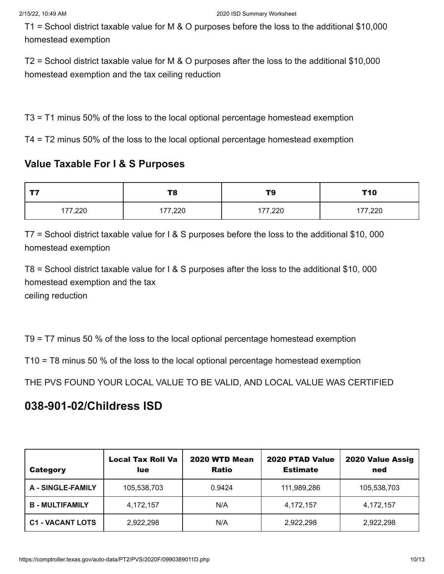T1 = School district taxable value for M & O purposes before the loss to the additional \$10,000 homestead exemption

T2 = School district taxable value for M & O purposes after the loss to the additional \$10,000 homestead exemption and the tax ceiling reduction

T3 = T1 minus 50% of the loss to the local optional percentage homestead exemption

T4 = T2 minus 50% of the loss to the local optional percentage homestead exemption

## **Value Taxable For I & S Purposes**

| ---     | T8      | T9      | <b>T10</b> |
|---------|---------|---------|------------|
| 177,220 | 177,220 | 177,220 | 177,220    |

T7 = School district taxable value for I & S purposes before the loss to the additional \$10, 000 homestead exemption

T8 = School district taxable value for I & S purposes after the loss to the additional \$10, 000 homestead exemption and the tax ceiling reduction

T9 = T7 minus 50 % of the loss to the local optional percentage homestead exemption

T10 = T8 minus 50 % of the loss to the local optional percentage homestead exemption

THE PVS FOUND YOUR LOCAL VALUE TO BE VALID, AND LOCAL VALUE WAS CERTIFIED

## **038-901-02/Childress ISD**

| <b>Category</b>          | <b>Local Tax Roll Va</b><br><b>lue</b> | 2020 WTD Mean<br><b>Ratio</b> | <b>2020 PTAD Value</b><br><b>Estimate</b> | 2020 Value Assig<br>ned |
|--------------------------|----------------------------------------|-------------------------------|-------------------------------------------|-------------------------|
| <b>A - SINGLE-FAMILY</b> | 105,538,703                            | 0.9424                        | 111,989,286                               | 105,538,703             |
| <b>B-MULTIFAMILY</b>     | 4,172,157                              | N/A                           | 4,172,157                                 | 4,172,157               |
| <b>C1 - VACANT LOTS</b>  | 2,922,298                              | N/A                           | 2,922,298                                 | 2,922,298               |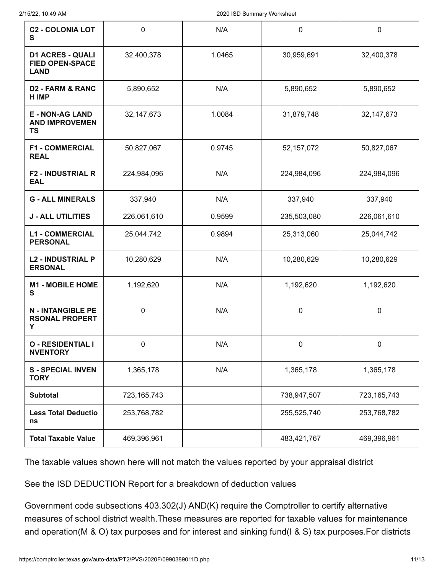| <b>C2 - COLONIA LOT</b><br>S                                     | $\mathbf 0$   | N/A    | 0            | $\boldsymbol{0}$ |
|------------------------------------------------------------------|---------------|--------|--------------|------------------|
| <b>D1 ACRES - QUALI</b><br><b>FIED OPEN-SPACE</b><br><b>LAND</b> | 32,400,378    | 1.0465 | 30,959,691   | 32,400,378       |
| <b>D2 - FARM &amp; RANC</b><br><b>HIMP</b>                       | 5,890,652     | N/A    | 5,890,652    | 5,890,652        |
| <b>E - NON-AG LAND</b><br><b>AND IMPROVEMEN</b><br><b>TS</b>     | 32, 147, 673  | 1.0084 | 31,879,748   | 32,147,673       |
| <b>F1 - COMMERCIAL</b><br><b>REAL</b>                            | 50,827,067    | 0.9745 | 52, 157, 072 | 50,827,067       |
| <b>F2 - INDUSTRIAL R</b><br><b>EAL</b>                           | 224,984,096   | N/A    | 224,984,096  | 224,984,096      |
| <b>G - ALL MINERALS</b>                                          | 337,940       | N/A    | 337,940      | 337,940          |
| <b>J - ALL UTILITIES</b>                                         | 226,061,610   | 0.9599 | 235,503,080  | 226,061,610      |
| <b>L1 - COMMERCIAL</b><br><b>PERSONAL</b>                        | 25,044,742    | 0.9894 | 25,313,060   | 25,044,742       |
| <b>L2 - INDUSTRIAL P</b><br><b>ERSONAL</b>                       | 10,280,629    | N/A    | 10,280,629   | 10,280,629       |
| <b>M1 - MOBILE HOME</b><br>S                                     | 1,192,620     | N/A    | 1,192,620    | 1,192,620        |
| <b>N - INTANGIBLE PE</b><br><b>RSONAL PROPERT</b><br>Y           | 0             | N/A    | 0            | $\boldsymbol{0}$ |
| <b>O - RESIDENTIAL I</b><br><b>NVENTORY</b>                      | 0             | N/A    | $\pmb{0}$    | $\mathbf 0$      |
| <b>S-SPECIAL INVEN</b><br><b>TORY</b>                            | 1,365,178     | N/A    | 1,365,178    | 1,365,178        |
| <b>Subtotal</b>                                                  | 723, 165, 743 |        | 738,947,507  | 723, 165, 743    |
| <b>Less Total Deductio</b><br>ns                                 | 253,768,782   |        | 255,525,740  | 253,768,782      |
| <b>Total Taxable Value</b>                                       | 469,396,961   |        | 483,421,767  | 469,396,961      |

See the ISD DEDUCTION Report for a breakdown of deduction values

Government code subsections 403.302(J) AND(K) require the Comptroller to certify alternative measures of school district wealth.These measures are reported for taxable values for maintenance and operation(M & O) tax purposes and for interest and sinking fund(I & S) tax purposes.For districts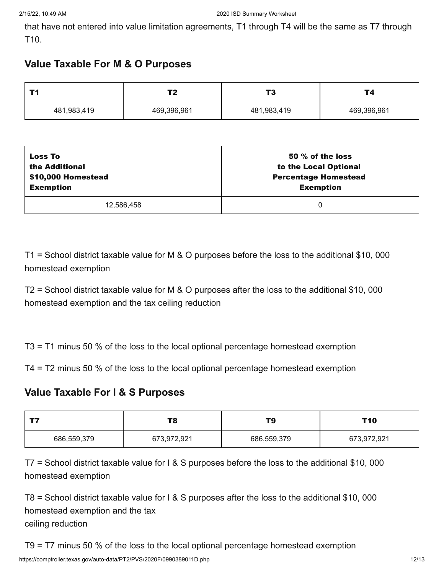that have not entered into value limitation agreements, T1 through T4 will be the same as T7 through T10.

## **Value Taxable For M & O Purposes**

| ŦЛ          |             | тq<br>IJ    |             |
|-------------|-------------|-------------|-------------|
| 481,983,419 | 469,396,961 | 481,983,419 | 469,396,961 |

| <b>Loss To</b>     | 50 $%$ of the loss          |
|--------------------|-----------------------------|
| the Additional     | to the Local Optional       |
| \$10,000 Homestead | <b>Percentage Homestead</b> |
| <b>Exemption</b>   | <b>Exemption</b>            |
| 12,586,458         | 0                           |

T1 = School district taxable value for M & O purposes before the loss to the additional \$10, 000 homestead exemption

T2 = School district taxable value for M & O purposes after the loss to the additional \$10, 000 homestead exemption and the tax ceiling reduction

T3 = T1 minus 50 % of the loss to the local optional percentage homestead exemption

T4 = T2 minus 50 % of the loss to the local optional percentage homestead exemption

## **Value Taxable For I & S Purposes**

| ーー<br>T8                   |  | T9          | T10         |
|----------------------------|--|-------------|-------------|
| 686,559,379<br>673,972,921 |  | 686,559,379 | 673,972,921 |

T7 = School district taxable value for I & S purposes before the loss to the additional \$10, 000 homestead exemption

T8 = School district taxable value for I & S purposes after the loss to the additional \$10, 000 homestead exemption and the tax ceiling reduction

T9 = T7 minus 50 % of the loss to the local optional percentage homestead exemption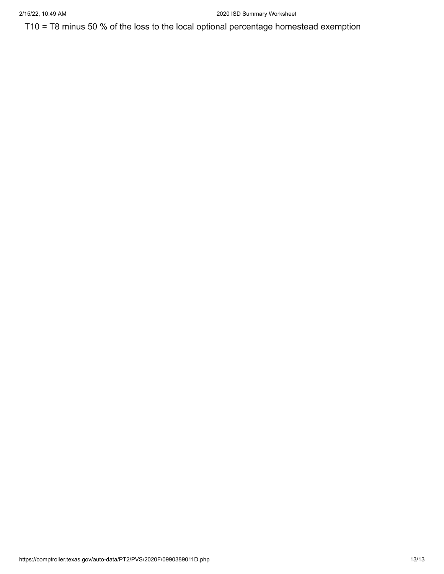T10 = T8 minus 50 % of the loss to the local optional percentage homestead exemption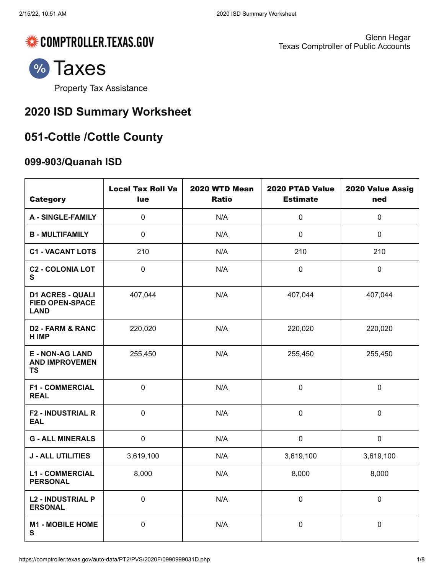

Glenn Hegar Texas Comptroller of Public Accounts



Property Tax [Assistance](https://comptroller.texas.gov/taxes/property-tax/)

# **2020 ISD Summary Worksheet**

# **051-Cottle /Cottle County**

## **099-903/Quanah ISD**

| <b>Category</b>                                                  | <b>Local Tax Roll Va</b><br>lue | 2020 WTD Mean<br><b>Ratio</b> | 2020 PTAD Value<br><b>Estimate</b> | 2020 Value Assig<br>ned |
|------------------------------------------------------------------|---------------------------------|-------------------------------|------------------------------------|-------------------------|
| <b>A - SINGLE-FAMILY</b>                                         | $\mathbf 0$                     | N/A                           | $\mathbf 0$                        | $\mathbf 0$             |
| <b>B - MULTIFAMILY</b>                                           | $\mathbf 0$                     | N/A                           | $\mathbf 0$                        | $\mathbf 0$             |
| <b>C1 - VACANT LOTS</b>                                          | 210                             | N/A                           | 210                                | 210                     |
| <b>C2 - COLONIA LOT</b><br>S                                     | $\overline{0}$                  | N/A                           | $\mathbf 0$                        | $\mathbf 0$             |
| <b>D1 ACRES - QUALI</b><br><b>FIED OPEN-SPACE</b><br><b>LAND</b> | 407,044                         | N/A                           | 407,044                            | 407,044                 |
| <b>D2 - FARM &amp; RANC</b><br><b>HIMP</b>                       | 220,020                         | N/A                           | 220,020                            | 220,020                 |
| <b>E - NON-AG LAND</b><br><b>AND IMPROVEMEN</b><br><b>TS</b>     | 255,450                         | N/A                           | 255,450                            | 255,450                 |
| <b>F1 - COMMERCIAL</b><br><b>REAL</b>                            | $\mathbf 0$                     | N/A                           | $\mathbf 0$                        | $\mathbf 0$             |
| <b>F2 - INDUSTRIAL R</b><br><b>EAL</b>                           | $\mathbf 0$                     | N/A                           | $\mathbf 0$                        | $\mathbf 0$             |
| <b>G - ALL MINERALS</b>                                          | $\pmb{0}$                       | N/A                           | $\pmb{0}$                          | $\pmb{0}$               |
| <b>J - ALL UTILITIES</b>                                         | 3,619,100                       | N/A                           | 3,619,100                          | 3,619,100               |
| <b>L1 - COMMERCIAL</b><br><b>PERSONAL</b>                        | 8,000                           | N/A                           | 8,000                              | 8,000                   |
| <b>L2 - INDUSTRIAL P</b><br><b>ERSONAL</b>                       | $\mathbf 0$                     | N/A                           | $\mathbf 0$                        | $\mathbf 0$             |
| <b>M1 - MOBILE HOME</b><br>$\mathbf{s}$                          | $\pmb{0}$                       | N/A                           | $\mathsf 0$                        | $\mathsf 0$             |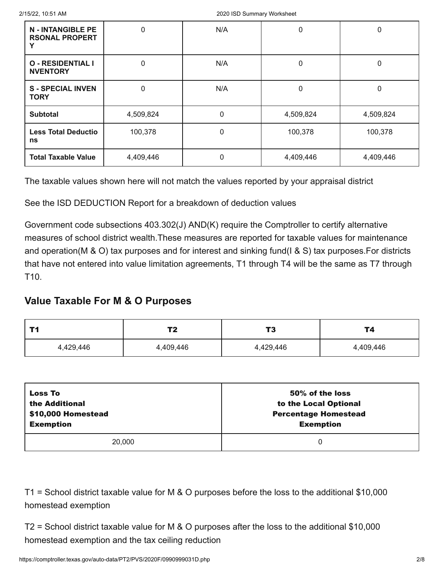| <b>N - INTANGIBLE PE</b><br><b>RSONAL PROPERT</b> | 0         | N/A      | $\mathbf 0$ | 0         |
|---------------------------------------------------|-----------|----------|-------------|-----------|
| <b>O - RESIDENTIAL I</b><br><b>NVENTORY</b>       | 0         | N/A      | 0           | 0         |
| <b>S-SPECIAL INVEN</b><br><b>TORY</b>             | 0         | N/A      | 0           | 0         |
| <b>Subtotal</b>                                   | 4,509,824 | 0        | 4,509,824   | 4,509,824 |
| <b>Less Total Deductio</b><br>ns                  | 100,378   | $\Omega$ | 100,378     | 100,378   |
| <b>Total Taxable Value</b>                        | 4,409,446 | 0        | 4,409,446   | 4,409,446 |

See the ISD DEDUCTION Report for a breakdown of deduction values

Government code subsections 403.302(J) AND(K) require the Comptroller to certify alternative measures of school district wealth.These measures are reported for taxable values for maintenance and operation(M & O) tax purposes and for interest and sinking fund(I & S) tax purposes.For districts that have not entered into value limitation agreements, T1 through T4 will be the same as T7 through T10.

## **Value Taxable For M & O Purposes**

| гл<br>$\sim$ $\sim$ |           | тg<br>17  | Т4        |
|---------------------|-----------|-----------|-----------|
| 4,429,446           | 4,409,446 | 4,429,446 | 4,409,446 |

| <b>Loss To</b>     | 50% of the loss             |
|--------------------|-----------------------------|
| the Additional     | to the Local Optional       |
| \$10,000 Homestead | <b>Percentage Homestead</b> |
| <b>Exemption</b>   | <b>Exemption</b>            |
| 20,000             | 0                           |

T1 = School district taxable value for M & O purposes before the loss to the additional \$10,000 homestead exemption

T2 = School district taxable value for M & O purposes after the loss to the additional \$10,000 homestead exemption and the tax ceiling reduction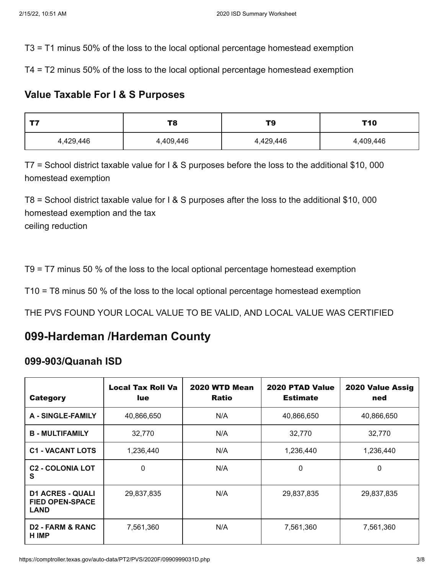T3 = T1 minus 50% of the loss to the local optional percentage homestead exemption

T4 = T2 minus 50% of the loss to the local optional percentage homestead exemption

## **Value Taxable For I & S Purposes**

| T8        |           | T9        | T <sub>10</sub> |
|-----------|-----------|-----------|-----------------|
| 4,429,446 | 4,409,446 | 4,429,446 | 4,409,446       |

T7 = School district taxable value for I & S purposes before the loss to the additional \$10, 000 homestead exemption

T8 = School district taxable value for I & S purposes after the loss to the additional \$10, 000 homestead exemption and the tax ceiling reduction

T9 = T7 minus 50 % of the loss to the local optional percentage homestead exemption

T10 = T8 minus 50 % of the loss to the local optional percentage homestead exemption

THE PVS FOUND YOUR LOCAL VALUE TO BE VALID, AND LOCAL VALUE WAS CERTIFIED

# **099-Hardeman /Hardeman County**

## **099-903/Quanah ISD**

| <b>Category</b>                                                  | <b>Local Tax Roll Va</b><br>lue. | 2020 WTD Mean<br><b>Ratio</b> | 2020 PTAD Value<br><b>Estimate</b> | 2020 Value Assig<br>ned |
|------------------------------------------------------------------|----------------------------------|-------------------------------|------------------------------------|-------------------------|
| <b>A - SINGLE-FAMILY</b>                                         | 40,866,650                       | N/A                           | 40,866,650                         | 40,866,650              |
| <b>B-MULTIFAMILY</b>                                             | 32,770                           | N/A                           | 32,770                             | 32,770                  |
| <b>C1 - VACANT LOTS</b>                                          | 1,236,440                        | N/A                           | 1,236,440                          | 1,236,440               |
| <b>C<sub>2</sub> - COLONIA LOT</b><br>S                          | 0                                | N/A                           | 0                                  | 0                       |
| <b>D1 ACRES - QUALI</b><br><b>FIED OPEN-SPACE</b><br><b>LAND</b> | 29,837,835                       | N/A                           | 29,837,835                         | 29,837,835              |
| <b>D2 - FARM &amp; RANC</b><br><b>H IMP</b>                      | 7,561,360                        | N/A                           | 7,561,360                          | 7,561,360               |

https://comptroller.texas.gov/auto-data/PT2/PVS/2020F/0990999031D.php 3/8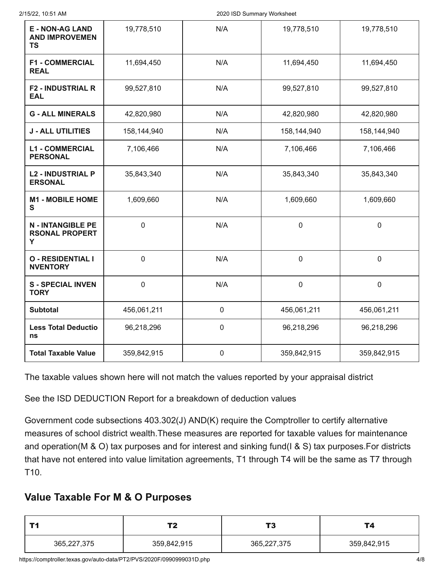| <b>E - NON-AG LAND</b><br><b>AND IMPROVEMEN</b><br><b>TS</b> | 19,778,510  | N/A         | 19,778,510  | 19,778,510       |
|--------------------------------------------------------------|-------------|-------------|-------------|------------------|
| <b>F1 - COMMERCIAL</b><br><b>REAL</b>                        | 11,694,450  | N/A         | 11,694,450  | 11,694,450       |
| <b>F2 - INDUSTRIAL R</b><br><b>EAL</b>                       | 99,527,810  | N/A         | 99,527,810  | 99,527,810       |
| <b>G - ALL MINERALS</b>                                      | 42,820,980  | N/A         | 42,820,980  | 42,820,980       |
| <b>J - ALL UTILITIES</b>                                     | 158,144,940 | N/A         | 158,144,940 | 158,144,940      |
| <b>L1 - COMMERCIAL</b><br><b>PERSONAL</b>                    | 7,106,466   | N/A         | 7,106,466   | 7,106,466        |
| <b>L2 - INDUSTRIAL P</b><br><b>ERSONAL</b>                   | 35,843,340  | N/A         | 35,843,340  | 35,843,340       |
| <b>M1 - MOBILE HOME</b><br>S                                 | 1,609,660   | N/A         | 1,609,660   | 1,609,660        |
| <b>N - INTANGIBLE PE</b><br><b>RSONAL PROPERT</b><br>Y       | $\mathbf 0$ | N/A         | $\mathbf 0$ | $\mathbf 0$      |
| <b>O - RESIDENTIAL I</b><br><b>NVENTORY</b>                  | $\mathbf 0$ | N/A         | $\mathbf 0$ | $\boldsymbol{0}$ |
| <b>S-SPECIAL INVEN</b><br><b>TORY</b>                        | $\mathbf 0$ | N/A         | $\pmb{0}$   | $\boldsymbol{0}$ |
| <b>Subtotal</b>                                              | 456,061,211 | $\mathbf 0$ | 456,061,211 | 456,061,211      |
| <b>Less Total Deductio</b><br>ns                             | 96,218,296  | $\mathbf 0$ | 96,218,296  | 96,218,296       |
| <b>Total Taxable Value</b>                                   | 359,842,915 | $\pmb{0}$   | 359,842,915 | 359,842,915      |

See the ISD DEDUCTION Report for a breakdown of deduction values

Government code subsections 403.302(J) AND(K) require the Comptroller to certify alternative measures of school district wealth.These measures are reported for taxable values for maintenance and operation(M & O) tax purposes and for interest and sinking fund(I & S) tax purposes.For districts that have not entered into value limitation agreements, T1 through T4 will be the same as T7 through T10.

## **Value Taxable For M & O Purposes**

|             | Т2          | 19          | Τ4          |
|-------------|-------------|-------------|-------------|
| 365,227,375 | 359,842,915 | 365,227,375 | 359,842,915 |

https://comptroller.texas.gov/auto-data/PT2/PVS/2020F/0990999031D.php 4/8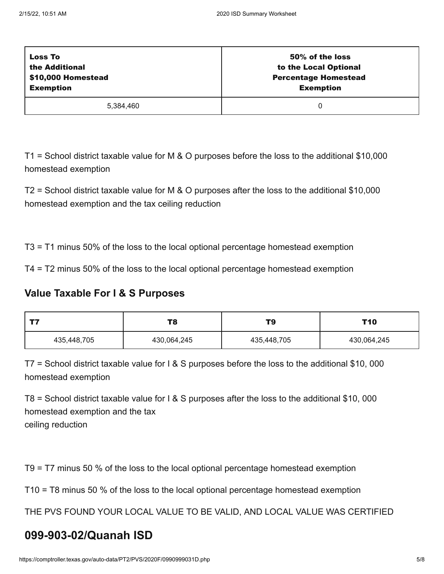| <b>Loss To</b>     | 50% of the loss             |
|--------------------|-----------------------------|
| the Additional     | to the Local Optional       |
| \$10,000 Homestead | <b>Percentage Homestead</b> |
| <b>Exemption</b>   | <b>Exemption</b>            |
| 5.384.460          |                             |

T1 = School district taxable value for M & O purposes before the loss to the additional \$10,000 homestead exemption

T2 = School district taxable value for M & O purposes after the loss to the additional \$10,000 homestead exemption and the tax ceiling reduction

T3 = T1 minus 50% of the loss to the local optional percentage homestead exemption

T4 = T2 minus 50% of the loss to the local optional percentage homestead exemption

## **Value Taxable For I & S Purposes**

| ナフ          | T8          | T9          | T10         |
|-------------|-------------|-------------|-------------|
| 435,448,705 | 430,064,245 | 435,448,705 | 430,064,245 |

T7 = School district taxable value for I & S purposes before the loss to the additional \$10, 000 homestead exemption

T8 = School district taxable value for I & S purposes after the loss to the additional \$10, 000 homestead exemption and the tax ceiling reduction

T9 = T7 minus 50 % of the loss to the local optional percentage homestead exemption

T10 = T8 minus 50 % of the loss to the local optional percentage homestead exemption

THE PVS FOUND YOUR LOCAL VALUE TO BE VALID, AND LOCAL VALUE WAS CERTIFIED

# **099-903-02/Quanah ISD**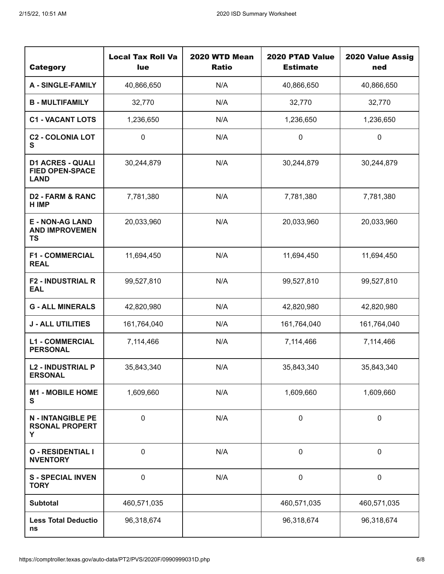| <b>Category</b>                                                  | <b>Local Tax Roll Va</b><br>lue | 2020 WTD Mean<br><b>Ratio</b> | 2020 PTAD Value<br><b>Estimate</b> | 2020 Value Assig<br>ned |
|------------------------------------------------------------------|---------------------------------|-------------------------------|------------------------------------|-------------------------|
| <b>A - SINGLE-FAMILY</b>                                         | 40,866,650                      | N/A                           | 40,866,650                         | 40,866,650              |
| <b>B - MULTIFAMILY</b>                                           | 32,770                          | N/A                           | 32,770                             | 32,770                  |
| <b>C1 - VACANT LOTS</b>                                          | 1,236,650                       | N/A                           | 1,236,650                          | 1,236,650               |
| <b>C2 - COLONIA LOT</b><br>S                                     | $\boldsymbol{0}$                | N/A                           | $\pmb{0}$                          | $\pmb{0}$               |
| <b>D1 ACRES - QUALI</b><br><b>FIED OPEN-SPACE</b><br><b>LAND</b> | 30,244,879                      | N/A                           | 30,244,879                         | 30,244,879              |
| <b>D2 - FARM &amp; RANC</b><br>H IMP                             | 7,781,380                       | N/A                           | 7,781,380                          | 7,781,380               |
| <b>E - NON-AG LAND</b><br><b>AND IMPROVEMEN</b><br><b>TS</b>     | 20,033,960                      | N/A                           | 20,033,960                         | 20,033,960              |
| <b>F1 - COMMERCIAL</b><br><b>REAL</b>                            | 11,694,450                      | N/A                           | 11,694,450                         | 11,694,450              |
| <b>F2 - INDUSTRIAL R</b><br><b>EAL</b>                           | 99,527,810                      | N/A                           | 99,527,810                         | 99,527,810              |
| <b>G - ALL MINERALS</b>                                          | 42,820,980                      | N/A                           | 42,820,980                         | 42,820,980              |
| <b>J - ALL UTILITIES</b>                                         | 161,764,040                     | N/A                           | 161,764,040                        | 161,764,040             |
| <b>L1 - COMMERCIAL</b><br><b>PERSONAL</b>                        | 7,114,466                       | N/A                           | 7,114,466                          | 7,114,466               |
| <b>L2 - INDUSTRIAL P</b><br><b>ERSONAL</b>                       | 35,843,340                      | N/A                           | 35,843,340                         | 35,843,340              |
| <b>M1 - MOBILE HOME</b><br>S                                     | 1,609,660                       | N/A                           | 1,609,660                          | 1,609,660               |
| <b>N - INTANGIBLE PE</b><br><b>RSONAL PROPERT</b><br>Y           | $\boldsymbol{0}$                | N/A                           | $\pmb{0}$                          | $\pmb{0}$               |
| <b>O - RESIDENTIAL I</b><br><b>NVENTORY</b>                      | 0                               | N/A                           | $\pmb{0}$                          | $\pmb{0}$               |
| <b>S-SPECIAL INVEN</b><br><b>TORY</b>                            | $\boldsymbol{0}$                | N/A                           | $\pmb{0}$                          | $\pmb{0}$               |
| <b>Subtotal</b>                                                  | 460,571,035                     |                               | 460,571,035                        | 460,571,035             |
| <b>Less Total Deductio</b><br>ns                                 | 96,318,674                      |                               | 96,318,674                         | 96,318,674              |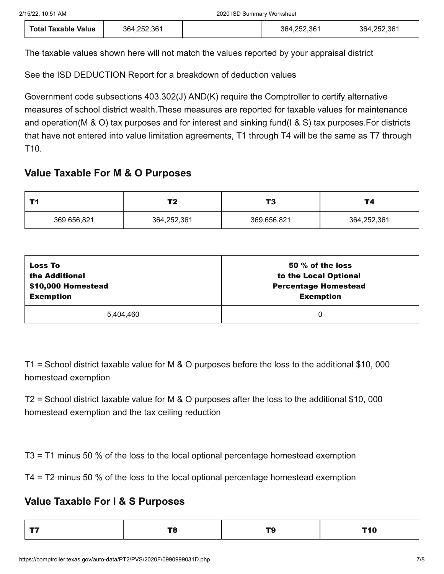| <b>Total Taxable Value</b> | 364,252,361 |  | 364,252,361 | 364,252,361 |
|----------------------------|-------------|--|-------------|-------------|
|----------------------------|-------------|--|-------------|-------------|

See the ISD DEDUCTION Report for a breakdown of deduction values

Government code subsections 403.302(J) AND(K) require the Comptroller to certify alternative measures of school district wealth.These measures are reported for taxable values for maintenance and operation(M & O) tax purposes and for interest and sinking fund(I & S) tax purposes.For districts that have not entered into value limitation agreements, T1 through T4 will be the same as T7 through T10.

## **Value Taxable For M & O Purposes**

|             | Т2          | т.<br>. .   | T4          |
|-------------|-------------|-------------|-------------|
| 369,656,821 | 364,252,361 | 369,656,821 | 364,252,361 |

| <b>Loss To</b>     | 50 % of the loss            |
|--------------------|-----------------------------|
| the Additional     | to the Local Optional       |
| \$10,000 Homestead | <b>Percentage Homestead</b> |
| <b>Exemption</b>   | <b>Exemption</b>            |
| 5.404.460          | 0                           |

T1 = School district taxable value for M & O purposes before the loss to the additional \$10, 000 homestead exemption

T2 = School district taxable value for M & O purposes after the loss to the additional \$10, 000 homestead exemption and the tax ceiling reduction

T3 = T1 minus 50 % of the loss to the local optional percentage homestead exemption

T4 = T2 minus 50 % of the loss to the local optional percentage homestead exemption

## **Value Taxable For I & S Purposes**